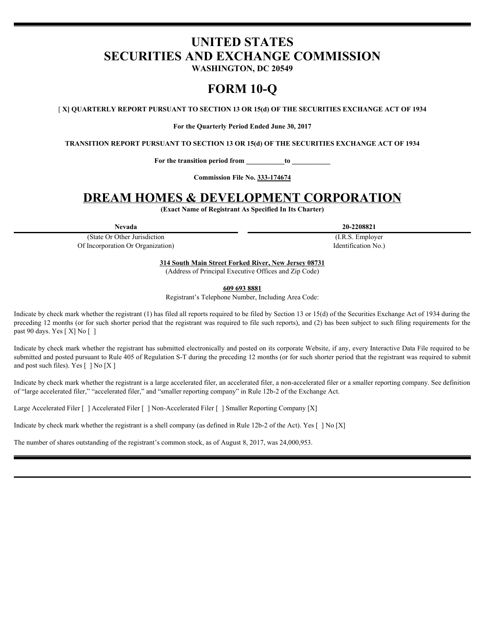# **UNITED STATES SECURITIES AND EXCHANGE COMMISSION**

**WASHINGTON, DC 20549**

# **FORM 10-Q**

[ **X] QUARTERLY REPORT PURSUANT TO SECTION 13 OR 15(d) OF THE SECURITIES EXCHANGE ACT OF 1934**

**For the Quarterly Period Ended June 30, 2017**

**TRANSITION REPORT PURSUANT TO SECTION 13 OR 15(d) OF THE SECURITIES EXCHANGE ACT OF 1934**

For the transition period from \_\_\_\_\_\_\_\_\_\_\_to

**Commission File No. 333-174674**

# **DREAM HOMES & DEVELOPMENT CORPORATION**

**(Exact Name of Registrant As Specified In Its Charter)**

(State Or Other Jurisdiction Of Incorporation Or Organization)

**Nevada 20-2208821**

(I.R.S. Employer Identification No.)

**314 South Main Street Forked River, New Jersey 08731**

(Address of Principal Executive Offices and Zip Code)

**609 693 8881**

Registrant's Telephone Number, Including Area Code:

Indicate by check mark whether the registrant (1) has filed all reports required to be filed by Section 13 or 15(d) of the Securities Exchange Act of 1934 during the preceding 12 months (or for such shorter period that the registrant was required to file such reports), and (2) has been subject to such filing requirements for the past 90 days. Yes [ X] No [ ]

Indicate by check mark whether the registrant has submitted electronically and posted on its corporate Website, if any, every Interactive Data File required to be submitted and posted pursuant to Rule 405 of Regulation S-T during the preceding 12 months (or for such shorter period that the registrant was required to submit and post such files). Yes [ ] No [X ]

Indicate by check mark whether the registrant is a large accelerated filer, an accelerated filer, a non-accelerated filer or a smaller reporting company. See definition of "large accelerated filer," "accelerated filer," and "smaller reporting company" in Rule 12b-2 of the Exchange Act.

Large Accelerated Filer [ ] Accelerated Filer [ ] Non-Accelerated Filer [ ] Smaller Reporting Company [X]

Indicate by check mark whether the registrant is a shell company (as defined in Rule 12b-2 of the Act). Yes  $[ \ ]$  No  $[X]$ 

The number of shares outstanding of the registrant's common stock, as of August 8, 2017, was 24,000,953.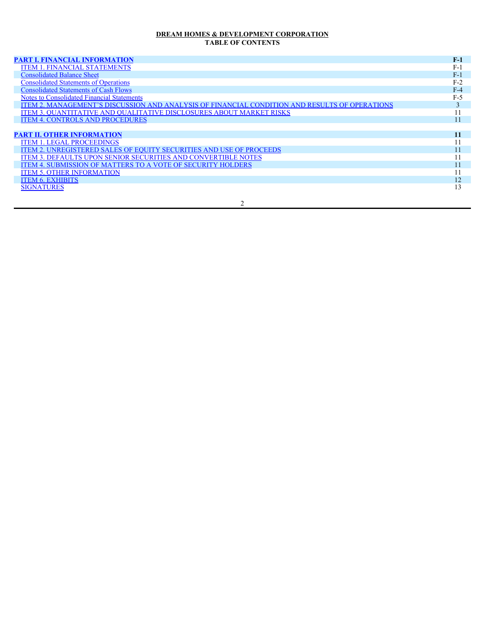# **DREAM HOMES & DEVELOPMENT CORPORATION TABLE OF CONTENTS**

| <b>PART I. FINANCIAL INFORMATION</b>                                                          | $F-1$ |
|-----------------------------------------------------------------------------------------------|-------|
| <b>ITEM 1. FINANCIAL STATEMENTS</b>                                                           | $F-1$ |
| <b>Consolidated Balance Sheet</b>                                                             | $F-1$ |
| <b>Consolidated Statements of Operations</b>                                                  | $F-2$ |
| <b>Consolidated Statements of Cash Flows</b>                                                  | $F-4$ |
| <b>Notes to Consolidated Financial Statements</b>                                             | $F-5$ |
| ITEM 2. MANAGEMENT'S DISCUSSION AND ANALYSIS OF FINANCIAL CONDITION AND RESULTS OF OPERATIONS |       |
| <b>ITEM 3. QUANTITATIVE AND QUALITATIVE DISCLOSURES ABOUT MARKET RISKS</b>                    | 11    |
| <b>ITEM 4. CONTROLS AND PROCEDURES</b>                                                        | 11    |
|                                                                                               |       |
| <b>PART II. OTHER INFORMATION</b>                                                             | 11    |
| <b>ITEM 1. LEGAL PROCEEDINGS</b>                                                              | 11    |
| <b>ITEM 2. UNREGISTERED SALES OF EOUITY SECURITIES AND USE OF PROCEEDS</b>                    | 11    |
| <b>ITEM 3. DEFAULTS UPON SENIOR SECURITIES AND CONVERTIBLE NOTES</b>                          | 11    |
| <b>ITEM 4. SUBMISSION OF MATTERS TO A VOTE OF SECURITY HOLDERS</b>                            | 11    |
| <b>ITEM 5. OTHER INFORMATION</b>                                                              | 11    |
| <b>ITEM 6. EXHIBITS</b>                                                                       | 12    |
| <b>SIGNATURES</b>                                                                             | 13    |
|                                                                                               |       |

2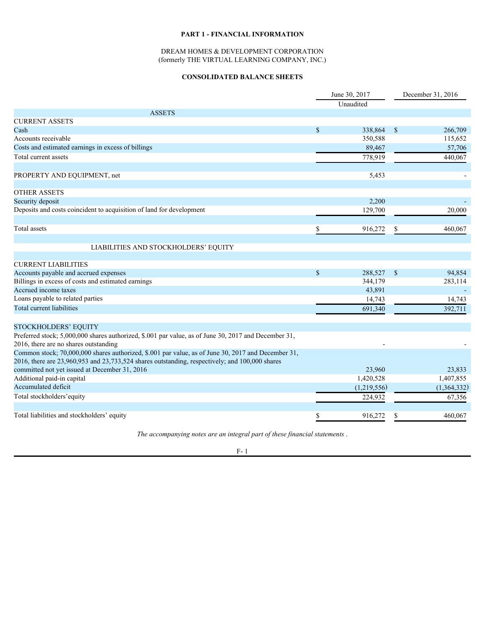# **PART 1 - FINANCIAL INFORMATION**

# DREAM HOMES & DEVELOPMENT CORPORATION (formerly THE VIRTUAL LEARNING COMPANY, INC.)

# **CONSOLIDATED BALANCE SHEETS**

|                                                                                                      |              | June 30, 2017 | December 31, 2016 |             |  |
|------------------------------------------------------------------------------------------------------|--------------|---------------|-------------------|-------------|--|
|                                                                                                      |              | Unaudited     |                   |             |  |
| <b>ASSETS</b>                                                                                        |              |               |                   |             |  |
| <b>CURRENT ASSETS</b>                                                                                |              |               |                   |             |  |
| Cash                                                                                                 | $\mathbb{S}$ | 338,864 \$    |                   | 266,709     |  |
| Accounts receivable                                                                                  |              | 350,588       |                   | 115,652     |  |
| Costs and estimated earnings in excess of billings                                                   |              | 89,467        |                   | 57,706      |  |
| Total current assets                                                                                 |              | 778,919       |                   | 440,067     |  |
| PROPERTY AND EQUIPMENT, net                                                                          |              | 5,453         |                   |             |  |
| <b>OTHER ASSETS</b>                                                                                  |              |               |                   |             |  |
| Security deposit                                                                                     |              | 2,200         |                   |             |  |
| Deposits and costs coincident to acquisition of land for development                                 |              | 129,700       |                   | 20,000      |  |
| Total assets                                                                                         |              | 916,272       | -S                | 460,067     |  |
| LIABILITIES AND STOCKHOLDERS' EQUITY                                                                 |              |               |                   |             |  |
| <b>CURRENT LIABILITIES</b>                                                                           |              |               |                   |             |  |
| Accounts payable and accrued expenses                                                                | $\mathbb{S}$ | 288,527 \$    |                   | 94,854      |  |
| Billings in excess of costs and estimated earnings                                                   |              | 344,179       |                   | 283,114     |  |
| Accrued income taxes                                                                                 |              | 43,891        |                   |             |  |
| Loans payable to related parties                                                                     |              | 14,743        |                   | 14,743      |  |
| Total current liabilities                                                                            |              | 691,340       |                   | 392,711     |  |
| STOCKHOLDERS' EQUITY                                                                                 |              |               |                   |             |  |
| Preferred stock; 5,000,000 shares authorized, \$.001 par value, as of June 30, 2017 and December 31, |              |               |                   |             |  |
| 2016, there are no shares outstanding                                                                |              |               |                   |             |  |
| Common stock; 70,000,000 shares authorized, \$.001 par value, as of June 30, 2017 and December 31,   |              |               |                   |             |  |
| 2016, there are 23,960,953 and 23,733,524 shares outstanding, respectively; and 100,000 shares       |              |               |                   |             |  |
| committed not yet issued at December 31, 2016                                                        |              | 23,960        |                   | 23,833      |  |
| Additional paid-in capital                                                                           |              | 1,420,528     |                   | 1,407,855   |  |
| Accumulated deficit                                                                                  |              | (1,219,556)   |                   | (1,364,332) |  |
| Total stockholders' equity                                                                           |              | 224,932       |                   | 67,356      |  |
| Total liabilities and stockholders' equity                                                           |              | 916,272       |                   | 460,067     |  |
|                                                                                                      |              |               |                   |             |  |

*The accompanying notes are an integral part of these financial statements* .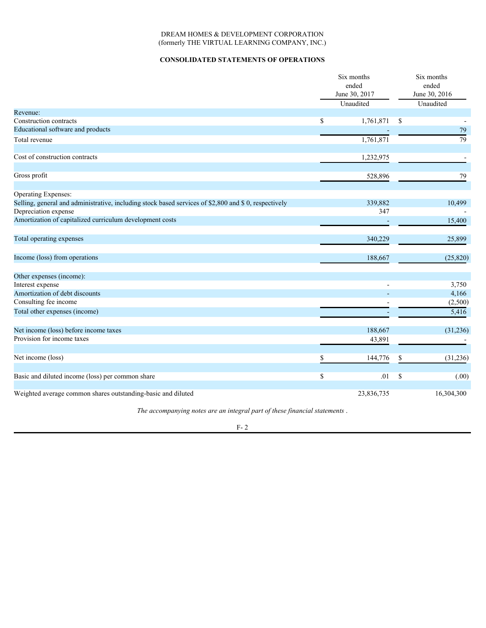# **CONSOLIDATED STATEMENTS OF OPERATIONS**

|                                                                                                      | Six months<br>ended<br>June 30, 2017<br>Unaudited |               | Six months<br>ended<br>June 30, 2016<br>Unaudited |
|------------------------------------------------------------------------------------------------------|---------------------------------------------------|---------------|---------------------------------------------------|
| Revenue:                                                                                             |                                                   |               |                                                   |
| Construction contracts                                                                               | \$<br>$1,761,871$ \$                              |               |                                                   |
| Educational software and products                                                                    |                                                   |               | 79                                                |
| Total revenue                                                                                        | 1,761,871                                         |               | 79                                                |
|                                                                                                      |                                                   |               |                                                   |
| Cost of construction contracts                                                                       | 1,232,975                                         |               |                                                   |
| Gross profit                                                                                         | 528,896                                           |               | 79                                                |
| Operating Expenses:                                                                                  |                                                   |               |                                                   |
| Selling, general and administrative, including stock based services of \$2,800 and \$0, respectively | 339,882                                           |               | 10,499                                            |
| Depreciation expense                                                                                 | 347                                               |               |                                                   |
| Amortization of capitalized curriculum development costs                                             |                                                   |               | 15,400                                            |
| Total operating expenses                                                                             | 340,229                                           |               | 25,899                                            |
|                                                                                                      |                                                   |               |                                                   |
| Income (loss) from operations                                                                        | 188,667                                           |               | (25, 820)                                         |
| Other expenses (income):                                                                             |                                                   |               |                                                   |
| Interest expense                                                                                     |                                                   |               | 3,750                                             |
| Amortization of debt discounts                                                                       |                                                   |               | 4,166                                             |
| Consulting fee income                                                                                |                                                   |               | (2,500)                                           |
| Total other expenses (income)                                                                        |                                                   |               | 5,416                                             |
| Net income (loss) before income taxes                                                                | 188,667                                           |               | (31,236)                                          |
| Provision for income taxes                                                                           | 43,891                                            |               |                                                   |
|                                                                                                      |                                                   |               |                                                   |
| Net income (loss)                                                                                    | 144,776                                           | \$            | (31, 236)                                         |
| Basic and diluted income (loss) per common share                                                     | \$<br>.01                                         | <sup>\$</sup> | (.00)                                             |
| Weighted average common shares outstanding-basic and diluted                                         | 23,836,735                                        |               | 16,304,300                                        |
|                                                                                                      |                                                   |               |                                                   |

*The accompanying notes are an integral part of these financial statements* .

F- 2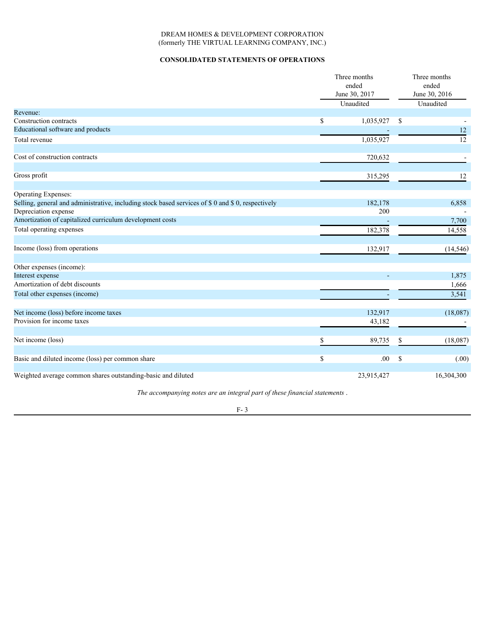# **CONSOLIDATED STATEMENTS OF OPERATIONS**

|                                                                                                    |    | Three months<br>ended<br>June 30, 2017<br>Unaudited |               | Three months<br>ended<br>June 30, 2016<br>Unaudited |
|----------------------------------------------------------------------------------------------------|----|-----------------------------------------------------|---------------|-----------------------------------------------------|
| Revenue:                                                                                           |    |                                                     |               |                                                     |
| Construction contracts                                                                             | \$ | 1,035,927 \$                                        |               |                                                     |
| Educational software and products                                                                  |    |                                                     |               | 12                                                  |
| Total revenue                                                                                      |    | 1,035,927                                           |               | 12                                                  |
| Cost of construction contracts                                                                     |    | 720,632                                             |               |                                                     |
| Gross profit                                                                                       |    | 315,295                                             |               | 12                                                  |
|                                                                                                    |    |                                                     |               |                                                     |
| Operating Expenses:                                                                                |    |                                                     |               |                                                     |
| Selling, general and administrative, including stock based services of \$ 0 and \$ 0, respectively |    | 182,178                                             |               | 6,858                                               |
| Depreciation expense                                                                               |    | 200                                                 |               |                                                     |
| Amortization of capitalized curriculum development costs                                           |    |                                                     |               | 7,700                                               |
| Total operating expenses                                                                           |    | 182,378                                             |               | 14,558                                              |
| Income (loss) from operations                                                                      |    | 132,917                                             |               | (14, 546)                                           |
| Other expenses (income):                                                                           |    |                                                     |               |                                                     |
| Interest expense                                                                                   |    |                                                     |               | 1,875                                               |
| Amortization of debt discounts                                                                     |    |                                                     |               | 1,666                                               |
| Total other expenses (income)                                                                      |    |                                                     |               | 3,541                                               |
| Net income (loss) before income taxes                                                              |    | 132,917                                             |               | (18,087)                                            |
| Provision for income taxes                                                                         |    | 43,182                                              |               |                                                     |
| Net income (loss)                                                                                  | S  | 89,735                                              | \$            | (18,087)                                            |
| Basic and diluted income (loss) per common share                                                   | \$ | 00.                                                 | <sup>\$</sup> | (.00)                                               |
| Weighted average common shares outstanding-basic and diluted                                       |    | 23,915,427                                          |               | 16,304,300                                          |
|                                                                                                    |    |                                                     |               |                                                     |

*The accompanying notes are an integral part of these financial statements* .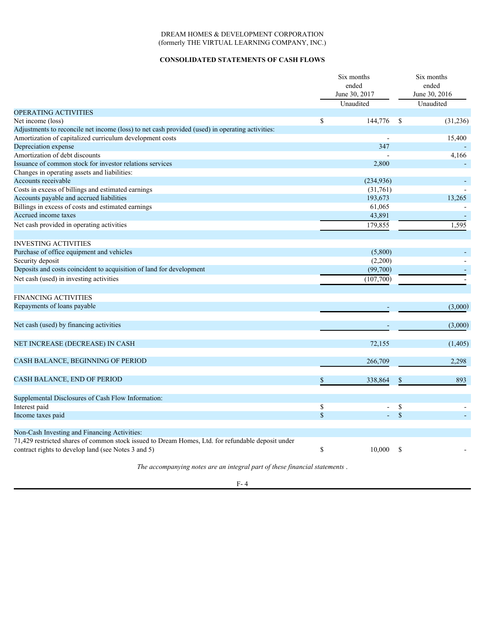# **CONSOLIDATED STATEMENTS OF CASH FLOWS**

|                                                                                                   |              | Six months<br>ended<br>June 30, 2017<br>Unaudited |               | Six months<br>ended<br>June 30, 2016<br>Unaudited |
|---------------------------------------------------------------------------------------------------|--------------|---------------------------------------------------|---------------|---------------------------------------------------|
| OPERATING ACTIVITIES                                                                              |              |                                                   |               |                                                   |
| Net income (loss)                                                                                 | \$           | 144,776 \$                                        |               | (31,236)                                          |
| Adjustments to reconcile net income (loss) to net cash provided (used) in operating activities:   |              |                                                   |               |                                                   |
| Amortization of capitalized curriculum development costs                                          |              |                                                   |               | 15,400                                            |
| Depreciation expense                                                                              |              | 347                                               |               |                                                   |
| Amortization of debt discounts                                                                    |              |                                                   |               | 4,166                                             |
| Issuance of common stock for investor relations services                                          |              | 2,800                                             |               |                                                   |
| Changes in operating assets and liabilities:                                                      |              |                                                   |               |                                                   |
| Accounts receivable                                                                               |              | (234, 936)                                        |               |                                                   |
| Costs in excess of billings and estimated earnings                                                |              | (31,761)                                          |               |                                                   |
| Accounts payable and accrued liabilities                                                          |              | 193,673                                           |               | 13,265                                            |
| Billings in excess of costs and estimated earnings                                                |              | 61,065                                            |               |                                                   |
| Accrued income taxes                                                                              |              | 43,891                                            |               |                                                   |
| Net cash provided in operating activities                                                         |              | 179,855                                           |               | 1,595                                             |
|                                                                                                   |              |                                                   |               |                                                   |
| <b>INVESTING ACTIVITIES</b>                                                                       |              |                                                   |               |                                                   |
| Purchase of office equipment and vehicles                                                         |              | (5,800)                                           |               |                                                   |
| Security deposit                                                                                  |              | (2,200)                                           |               |                                                   |
| Deposits and costs coincident to acquisition of land for development                              |              | (99,700)                                          |               |                                                   |
| Net cash (used) in investing activities                                                           |              | (107,700)                                         |               |                                                   |
|                                                                                                   |              |                                                   |               |                                                   |
| <b>FINANCING ACTIVITIES</b>                                                                       |              |                                                   |               |                                                   |
| Repayments of loans payable                                                                       |              |                                                   |               |                                                   |
|                                                                                                   |              |                                                   |               | (3,000)                                           |
| Net cash (used) by financing activities                                                           |              |                                                   |               | (3,000)                                           |
|                                                                                                   |              |                                                   |               |                                                   |
| NET INCREASE (DECREASE) IN CASH                                                                   |              | 72,155                                            |               | (1, 405)                                          |
|                                                                                                   |              |                                                   |               |                                                   |
| CASH BALANCE, BEGINNING OF PERIOD                                                                 |              | 266,709                                           |               | 2,298                                             |
|                                                                                                   |              |                                                   |               |                                                   |
| CASH BALANCE, END OF PERIOD                                                                       | S            | 338,864                                           | S             | 893                                               |
|                                                                                                   |              |                                                   |               |                                                   |
| Supplemental Disclosures of Cash Flow Information:                                                |              |                                                   |               |                                                   |
| Interest paid                                                                                     | $\mathbb{S}$ | $\blacksquare$                                    | - \$          |                                                   |
| Income taxes paid                                                                                 | $\mathbb{S}$ | $\overline{a}$                                    | $\mathcal{S}$ |                                                   |
|                                                                                                   |              |                                                   |               |                                                   |
| Non-Cash Investing and Financing Activities:                                                      |              |                                                   |               |                                                   |
| 71,429 restricted shares of common stock issued to Dream Homes, Ltd. for refundable deposit under |              |                                                   |               |                                                   |
| contract rights to develop land (see Notes 3 and 5)                                               | $\mathbb S$  | $10,000$ \$                                       |               |                                                   |
|                                                                                                   |              |                                                   |               |                                                   |

*The accompanying notes are an integral part of these financial statements* .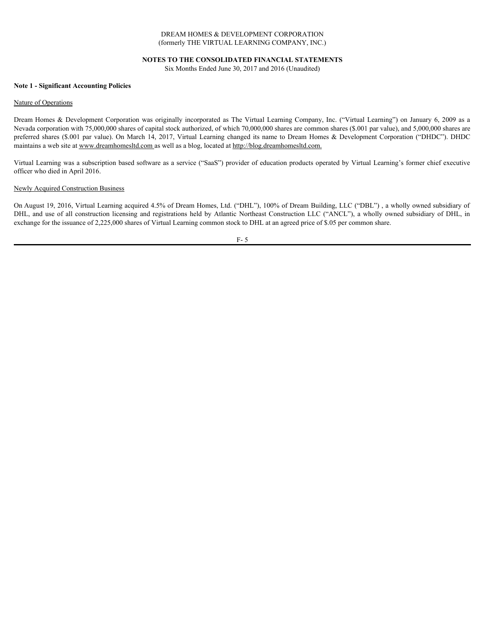#### **NOTES TO THE CONSOLIDATED FINANCIAL STATEMENTS**

Six Months Ended June 30, 2017 and 2016 (Unaudited)

#### **Note 1 - Significant Accounting Policies**

#### Nature of Operations

DREAM HOMES & DEVELOPMENT CORPORATION<br>
(formerly THE VIRTUAL LEARNING COMPANY, INC.)<br> **NOTES TO THE CONSOLIDATED FINANCIAL STATEMENTS**<br>
SEX Months Ended June 30, 2017 and 2016 (Unaudited)<br> **Neure of Operations**<br>
Dream Home Nevada corporation with 75,000,000 shares of capital stock authorized, of which 70,000,000 shares are common shares (\$.001 par value), and 5,000,000 shares are preferred shares (\$.001 par value). On March 14, 2017, Virtual Learning changed its name to Dream Homes & Development Corporation ("DHDC"). DHDC maintains a web site at www.dreamhomesltd.com as well as a blog, located at http://blog.dreamhomesltd.com. DRLAM HOMES & DEVELOPMENT CORPORATION<br>
(fermerly THE VIRTUAL LEARNING COMPANY, INC.)<br>
NOTE CONSTRANT STONE (DANCELATED FIRANCELATED FIRANCELATED STATE MINE (SURFACE STATE AND THE CONSTRANT STATE OF CONSTRANT STATE OF CONST

Virtual Learning was a subscription based software as a service ("SaaS") provider of education products operated by Virtual Learning's former chief executive officer who died in April 2016.

#### Newly Acquired Construction Business

On August 19, 2016, Virtual Learning acquired 4.5% of Dream Homes, Ltd. ("DHL"), 100% of Dream Building, LLC ("DBL") , a wholly owned subsidiary of exchange for the issuance of 2,225,000 shares of Virtual Learning common stock to DHL at an agreed price of \$.05 per common share.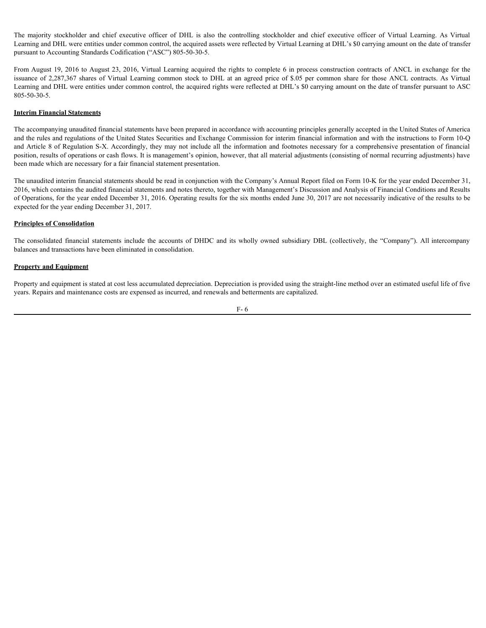Learning and DHL were entities under common control, the acquired assets were reflected by Virtual Learning at DHL's \$0 carrying amount on the date of transfer pursuant to Accounting Standards Codification ("ASC") 805-50-30-5.

The majority stockholder and chief executive officer of DHL is also the controlling stockholder and chief executive officer of Virtual Learning. As Virtual Learning and DHL vere entities under common control, the acquired From August 19, 2016 to August 23, 2016, Virtual Learning acquired the rights to complete 6 in process construction contracts of ANCL in exchange for the The majority stockholder and chief executive officer of DHL is also the controlling stockholder and chief executive officer of Virtual Learning. As Virtual<br>Learning and DHL were entities under common control, the acquired Learning and DHL were entities under common control, the acquired rights were reflected at DHL's \$0 carrying amount on the date of transfer pursuant to ASC 805-50-30-5.

## **Interim Financial Statements**

The accompanying unaudited financial statements have been prepared in accordance with accounting principles generally accepted in the United States of America and the rules and regulations of the United States Securities and Exchange Commission for interim financial information and with the instructions to Form 10-Q and Article 8 of Regulation S-X. Accordingly, they may not include all the information and footnotes necessary for a comprehensive presentation of financial position, results of operations or cash flows. It is management's opinion, however, that all material adjustments (consisting of normal recurring adjustments) have been made which are necessary for a fair financial statement presentation. The majority stockholder and chief executive officer of DHL is also the controlling stockholder and delife executive officer of Virtual Learning and DHL wave calculated provided and DHL wave constraints and DHL wave and D

The unaudited interim financial statements should be read in conjunction with the Company's Annual Report filed on Form 10-K for the year ended December 31, 2016, which contains the audited financial statements and notes thereto, together with Management's Discussion and Analysis of Financial Conditions and Results of Operations, for the year ended December 31, 2016. Operating results for the six months ended June 30, 2017 are not necessarily indicative of the results to be expected for the year ending December 31, 2017.

#### **Principles of Consolidation**

balances and transactions have been eliminated in consolidation.

#### **Property and Equipment**

Property and equipment is stated at cost less accumulated depreciation. Depreciation is provided using the straight-line method over an estimated useful life of five years. Repairs and maintenance costs are expensed as incurred, and renewals and betterments are capitalized.

$$
F-6
$$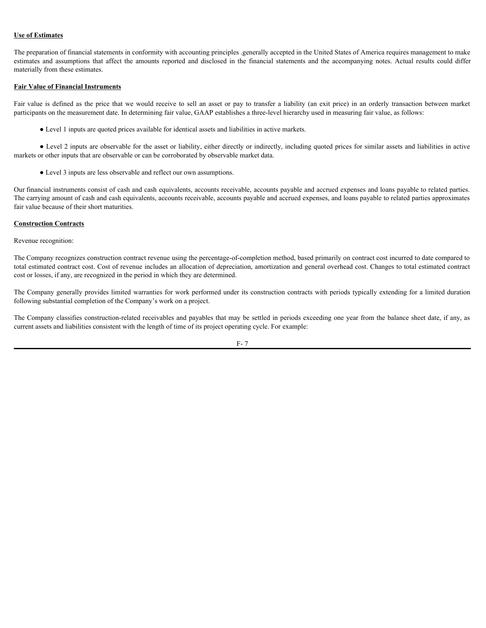# **Use of Estimates**

The preparation of financial statements in conformity with accounting principles .generally accepted in the United States of America requires management to make **Exercise of Estimates**<br>The preparation of financial statements in conformity with accounting principles .generally accepted in the United States of America requires management to make<br>estimates and assumptions that affect materially from these estimates. **The preparation of financial statements in conformity with accounting principles generally accepted in the United States of America requires management to make stimulates and assumptions that affect the amounts reported a** 

## **Fair Value of Financial Instruments**

participants on the measurement date. In determining fair value, GAAP establishes a three-level hierarchy used in measuring fair value, as follows:

● Level 1 inputs are quoted prices available for identical assets and liabilities in active markets.

● Level 2 inputs are observable for the asset or liability, either directly or indirectly, including quoted prices for similar assets and liabilities in active markets or other inputs that are observable or can be corroborated by observable market data.

● Level 3 inputs are less observable and reflect our own assumptions.

Our financial instruments consist of cash and cash equivalents, accounts receivable, accounts payable and accrued expenses and loans payable to related parties. The carrying amount of cash and cash equivalents, accounts receivable, accounts payable and accrued expenses, and loans payable to related parties approximates fair value because of their short maturities.

#### **Construction Contracts**

Revenue recognition:

The Company recognizes construction contract revenue using the percentage-of-completion method, based primarily on contract cost incurred to date compared to total estimated contract cost. Cost of revenue includes an allocation of depreciation, amortization and general overhead cost. Changes to total estimated contract cost or losses, if any, are recognized in the period in which they are determined.

The Company generally provides limited warranties for work performed under its construction contracts with periods typically extending for a limited duration following substantial completion of the Company's work on a project.

The Company classifies construction-related receivables and payables that may be settled in periods exceeding one year from the balance sheet date, if any, as current assets and liabilities consistent with the length of time of its project operating cycle. For example: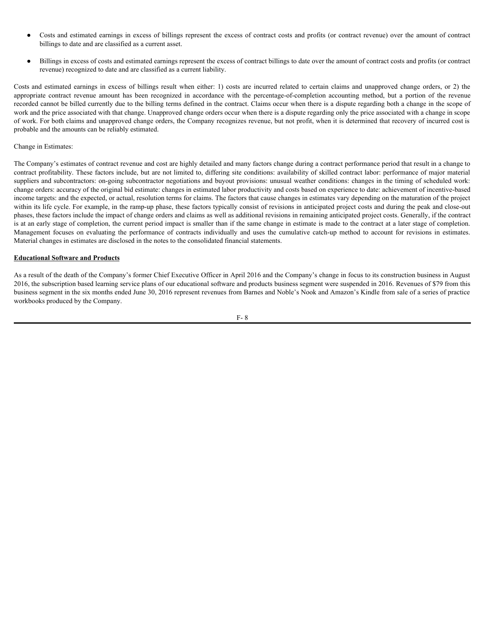- Costs and estimated earnings in excess of billings represent the excess of contract costs and profits (or contract revenue) over the amount of contract billings to date and are classified as a current asset.
- Billings in excess of costs and estimated earnings represent the excess of contract billings to date over the amount of contract costs and profits (or contract revenue) recognized to date and are classified as a current liability.

• Costs and estimated earnings in excess of billings represent the excess of contract costs and profits (or contract billings to date and are classified as a current asset.<br>• Billings in excess of costs and estimated earni • Costs and estimated earnings in excess of bilings represent the excess of contract costs and profits (or contract revenue) over the amount of contract billings to date and ame classified as a current asset.<br>• Billings in recorded cannot be billed currently due to the billing terms defined in the contract. Claims occur when there is a dispute regarding both a change in the scope of work and the price associated with that change. Unapproved change orders occur when there is a dispute regarding only the price associated with a change in scope of work. For both claims and unapproved change orders, the Company recognizes revenue, but not profit, when it is determined that recovery of incurred cost is probable and the amounts can be reliably estimated.

#### Change in Estimates:

The Company's estimates of contract revenue and cost are highly detailed and many factors change during a contract performance period that result in a change to contract profitability. These factors include, but are not limited to, differing site conditions: availability of skilled contract labor: performance of major material suppliers and subcontractors: on-going subcontractor negotiations and buyout provisions: unusual weather conditions: changes in the timing of scheduled work: change orders: accuracy of the original bid estimate: changes in estimated labor productivity and costs based on experience to date: achievement of incentive-based income targets: and the expected, or actual, resolution terms for claims. The factors that cause changes in estimates vary depending on the maturation of the project within its life cycle. For example, in the ramp-up phase, these factors typically consist of revisions in anticipated project costs and during the peak and close-out phases, these factors include the impact of change orders and claims as well as additional revisions in remaining anticipated project costs. Generally, if the contract is at an early stage of completion, the current period impact is smaller than if the same change in estimate is made to the contract at a later stage of completion. • Costs and entranted carrange in excess of bilings represent the excess of contract costs and profits (or contract revenue) over the invocant of contract the performance of the following in the cumulation of and calculate Material changes in estimates are disclosed in the notes to the consolidated financial statements.

# **Educational Software and Products**

As a result of the death of the Company's former Chief Executive Officer in April 2016 and the Company's change in focus to its construction business in August 2016, the subscription based learning service plans of our educational software and products business segment were suspended in 2016. Revenues of \$79 from this business segment in the six months ended June 30, 2016 represent revenues from Barnes and Noble's Nook and Amazon's Kindle from sale of a series of practice workbooks produced by the Company.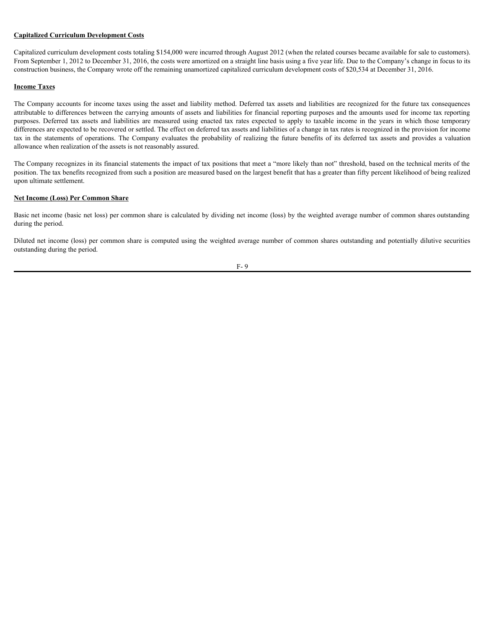## **Capitalized Curriculum Development Costs**

Capitalized curriculum development costs totaling \$154,000 were incurred through August 2012 (when the related courses became available for sale to customers). From September 1, 2012 to December 31, 2016, the costs were amortized on a straight line basis using a five year life. Due to the Company's change in focus to its construction business, the Company wrote off the remaining unamortized capitalized curriculum development costs of \$20,534 at December 31, 2016.

## **Income Taxes**

The Company accounts for income taxes using the asset and liability method. Deferred tax assets and liabilities are recognized for the future tax consequences attributable to differences between the carrying amounts of assets and liabilities for financial reporting purposes and the amounts used for income tax reporting **Capitalized Curriculum Development Costs**<br>Capitalized curriculum development costs totaling \$154,000 were incurred through August 2012 (when the related courses became available for sale to customers).<br>From September 1, differences are expected to be recovered or settled. The effect on deferred tax assets and liabilities of a change in tax rates is recognized in the provision for income **Capitalized Curriculum Development Costs**<br> **Capitalized eurriculum development eosts totaling \$154,000 were incurred through August 2012 (when the related courses became available for sale to eustionres).<br>
From September** allowance when realization of the assets is not reasonably assured.

The Company recognizes in its financial statements the impact of tax positions that meet a "more likely than not" threshold, based on the technical merits of the position. The tax benefits recognized from such a position are measured based on the largest benefit that has a greater than fifty percent likelihood of being realized upon ultimate settlement.

## **Net Income (Loss) Per Common Share**

Basic net income (basic net loss) per common share is calculated by dividing net income (loss) by the weighted average number of common shares outstanding during the period.

Diluted net income (loss) per common share is computed using the weighted average number of common shares outstanding and potentially dilutive securities outstanding during the period.

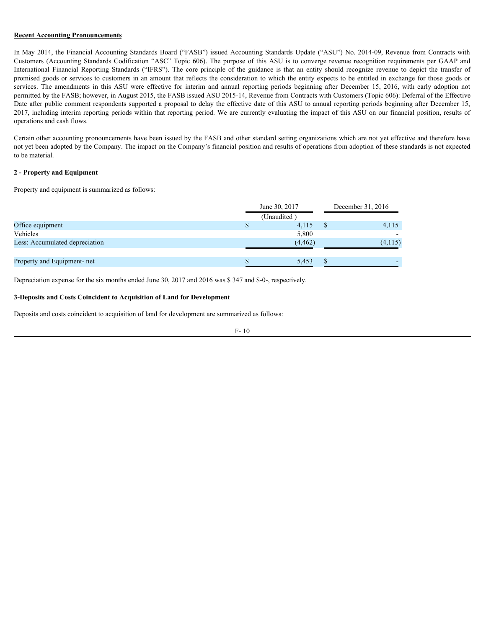## **Recent Accounting Pronouncements**

In May 2014, the Financial Accounting Standards Board ("FASB") issued Accounting Standards Update ("ASU") No. 2014-09, Revenue from Contracts with Recent Accounting Pronouncements<br>In May 2014, the Financial Accounting Standards Board ("FASB") issued Accounting Standards Update ("ASU") No. 2014-09, Revenue from Contracts with<br>Customers (Accounting Standards Codificati Recent Accounting Pronouncements<br>In May 2014, the Financial Accounting Standards Board ("FASB") issued Accounting Standards Update ("ASU") No. 2014-09, Revenue from Contracts with<br>Customers (Accounting Standards Codificati **Recent Accounting Pronouncements**<br>In May 2014, the Financial Accounting Standards Board ("FASB") issued Accounting Standards Update ("ASU") No. 2014-09, Revenue from Contracts with<br>Customers (Accounting Standards Codifica permitted by the FASB; however, in August 2015, the FASB issued ASU 2015-14, Revenue from Contracts with Customers (Topic 606): Deferral of the Effective Date after public comment respondents supported a proposal to delay the effective date of this ASU to annual reporting periods beginning after December 15, 2017, including interim reporting periods within that reporting period. We are currently evaluating the impact of this ASU on our financial position, results of operations and cash flows.

Certain other accounting pronouncements have been issued by the FASB and other standard setting organizations which are not yet effective and therefore have not yet been adopted by the Company. The impact on the Company's financial position and results of operations from adoption of these standards is not expected to be material.

#### **2 - Property and Equipment**

Property and equipment is summarized as follows:

|                                | June 30, 2017 |  | December 31, 2016        |  |  |
|--------------------------------|---------------|--|--------------------------|--|--|
|                                | (Unaudited)   |  |                          |  |  |
| Office equipment               | 4,115         |  | 4,115                    |  |  |
| Vehicles                       | 5,800         |  | $\overline{\phantom{0}}$ |  |  |
| Less: Accumulated depreciation | (4, 462)      |  | (4,115)                  |  |  |
|                                |               |  |                          |  |  |
| Property and Equipment- net    | 5,453         |  |                          |  |  |
|                                |               |  |                          |  |  |

Depreciation expense for the six months ended June 30, 2017 and 2016 was \$ 347 and \$-0-, respectively.

## **3-Deposits and Costs Coincident to Acquisition of Land for Development**

Deposits and costs coincident to acquisition of land for development are summarized as follows:

$$
F-10
$$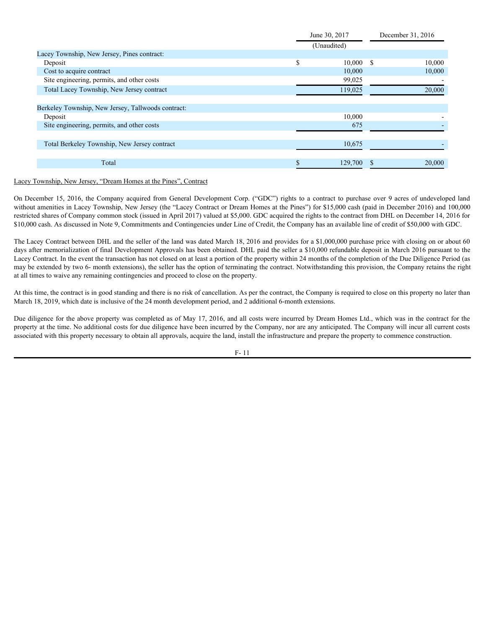|                                                       |             | June 30, 2017 |  | December 31, 2016   |  |  |  |
|-------------------------------------------------------|-------------|---------------|--|---------------------|--|--|--|
|                                                       |             | (Unaudited)   |  |                     |  |  |  |
| Lacey Township, New Jersey, Pines contract:           |             |               |  |                     |  |  |  |
| Deposit                                               | $\mathbf S$ | $10,000$ \$   |  | 10,000              |  |  |  |
| Cost to acquire contract                              |             | 10,000        |  | 10,000              |  |  |  |
| Site engineering, permits, and other costs            |             | 99,025        |  |                     |  |  |  |
| Total Lacey Township, New Jersey contract             |             | 119.025       |  | $\overline{20,000}$ |  |  |  |
|                                                       |             |               |  |                     |  |  |  |
| Berkeley Township, New Jersey, Tallwoods contract:    |             |               |  |                     |  |  |  |
| Deposit<br>Site engineering, permits, and other costs |             | 10,000<br>675 |  |                     |  |  |  |
|                                                       |             |               |  |                     |  |  |  |
| Total Berkeley Township, New Jersey contract          |             | 10,675        |  |                     |  |  |  |
| Total                                                 |             | 129,700 \$    |  | 20,000              |  |  |  |

## Lacey Township, New Jersey, "Dream Homes at the Pines", Contract

The Lacey Contract between DHL and the seller of the land was dated March 18, 2016 and provides for a \$1,000,000 purchase price with closing on or about 60 days after memorialization of final Development Approvals has been obtained. DHL paid the seller a \$10,000 refundable deposit in March 2016 pursuant to the Lacey Contract. In the event the transaction has not closed on at least a portion of the property within 24 months of the completion of the Due Diligence Period (as may be extended by two 6- month extensions), the seller has the option of terminating the contract. Notwithstanding this provision, the Company retains the right at all times to waive any remaining contingencies and proceed to close on the property.

At this time, the contract is in good standing and there is no risk of cancellation. As per the contract, the Company is required to close on this property no later than March 18, 2019, which date is inclusive of the 24 month development period, and 2 additional 6-month extensions.

Due diligence for the above property was completed as of May 17, 2016, and all costs were incurred by Dream Homes Ltd., which was in the contract for the property at the time. No additional costs for due diligence have been incurred by the Company, nor are any anticipated. The Company will incur all current costs associated with this property necessary to obtain all approvals, acquire the land, install the infrastructure and prepare the property to commence construction.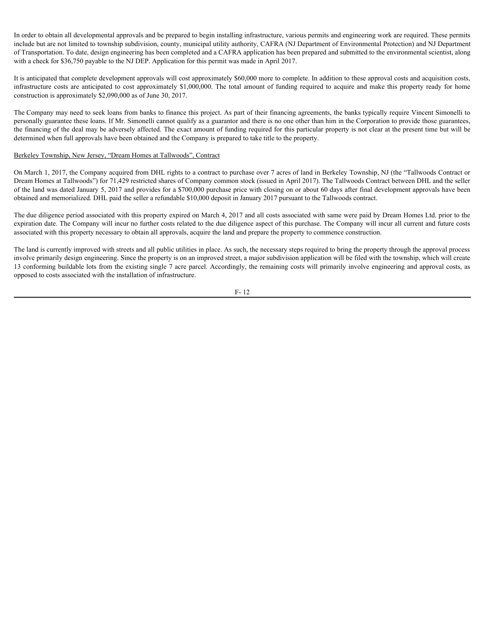In order to obtain all developmental approvals and be prepared to begin installing infrastructure, various permits and engineering work are required. These permits include but are not limited to township subdivision, county, municipal utility authority, CAFRA (NJ Department of Environmental Protection) and NJ Department of Transportation. To date, design engineering has been completed and a CAFRA application has been prepared and submitted to the environmental scientist, along with a check for \$36,750 payable to the NJ DEP. Application for this permit was made in April 2017.

It is anticipated that complete development approvals will cost approximately \$60,000 more to complete. In addition to these approval costs and acquisition costs, construction is approximately \$2,090,000 as of June 30, 2017.

In order to obtain all developmental approvals and be prepared to begin installing infrastructure, various permits and engineering work are required. These permits include but are not limited to township subdivision, count The Company may need to seek loans from banks to finance this project. As part of their financing agreements, the banks typically require Vincent Simonelli to personally guarantee these loans. If Mr. Simonelli cannot qualify as a guarantor and there is no one other than him in the Corporation to provide those guarantees, the financing of the deal may be adversely affected. The exact amount of funding required for this particular property is not clear at the present time but will be determined when full approvals have been obtained and the Company is prepared to take title to the property.

## Berkeley Township, New Jersey, "Dream Homes at Tallwoods", Contract

On March 1, 2017, the Company acquired from DHL rights to a contract to purchase over 7 acres of land in Berkeley Township, NJ (the "Tallwoods Contract or Dream Homes at Tallwoods") for 71,429 restricted shares of Company common stock (issued in April 2017). The Tallwoods Contract between DHL and the seller of the land was dated January 5, 2017 and provides for a \$700,000 purchase price with closing on or about 60 days after final development approvals have been obtained and memorialized. DHL paid the seller a refundable \$10,000 deposit in January 2017 pursuant to the Tallwoods contract.

The due diligence period associated with this property expired on March 4, 2017 and all costs associated with same were paid by Dream Homes Ltd. prior to the expiration date. The Company will incur no further costs related to the due diligence aspect of this purchase. The Company will incur all current and future costs associated with this property necessary to obtain all approvals, acquire the land and prepare the property to commence construction.

The land is currently improved with streets and all public utilities in place. As such, the necessary steps required to bring the property through the approval process involve primarily design engineering. Since the property is on an improved street, a major subdivision application will be filed with the township, which will create 13 conforming buildable lots from the existing single 7 acre parcel. Accordingly, the remaining costs will primarily involve engineering and approval costs, as opposed to costs associated with the installation of infrastructure.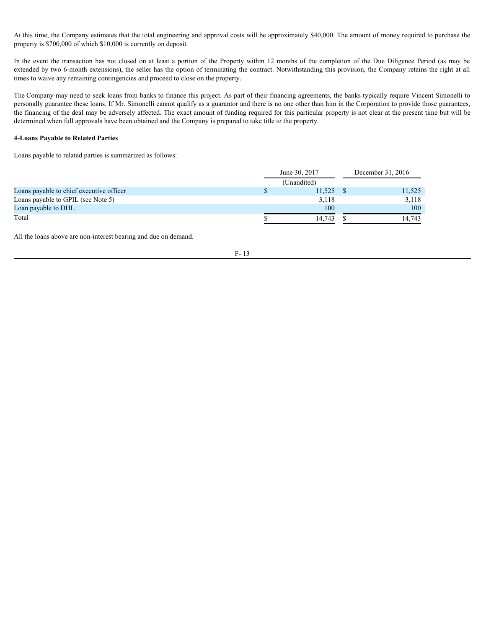At this time, the Company estimates that the total engineering and approval costs will be approximately \$40,000. The amount of money required to purchase the property is \$700,000 of which \$10,000 is currently on deposit.

extended by two 6-month extensions), the seller has the option of terminating the contract. Notwithstanding this provision, the Company retains the right at all times to waive any remaining contingencies and proceed to close on the property.

At this time, the Company estimates that the total engineering and approval costs will be approximately \$40,000. The amount of money required to purchase the<br>property is \$700,000 of which \$10,000 is currently on deposit.<br>I The Company may need to seek loans from banks to finance this project. As part of their financing agreements, the banks typically require Vincent Simonelli to personally guarantee these loans. If Mr. Simonelli cannot qualify as a guarantor and there is no one other than him in the Corporation to provide those guarantees, the financing of the deal may be adversely affected. The exact amount of funding required for this particular property is not clear at the present time but will be determined when full approvals have been obtained and the Company is prepared to take title to the property.

## **4-Loans Payable to Related Parties**

Loans payable to related parties is summarized as follows:

|                                          | June 30, 2017 |  | December 31, 2016 |  |
|------------------------------------------|---------------|--|-------------------|--|
|                                          | (Unaudited)   |  |                   |  |
| Loans payable to chief executive officer | 11,525        |  | 11,525            |  |
| Loans payable to GPIL (see Note 5)       | 3,118         |  | 3,118             |  |
| Loan payable to DHL                      | 100           |  | 100               |  |
| Total                                    | 14.743        |  | 14,743            |  |
|                                          |               |  |                   |  |

All the loans above are non-interest bearing and due on demand.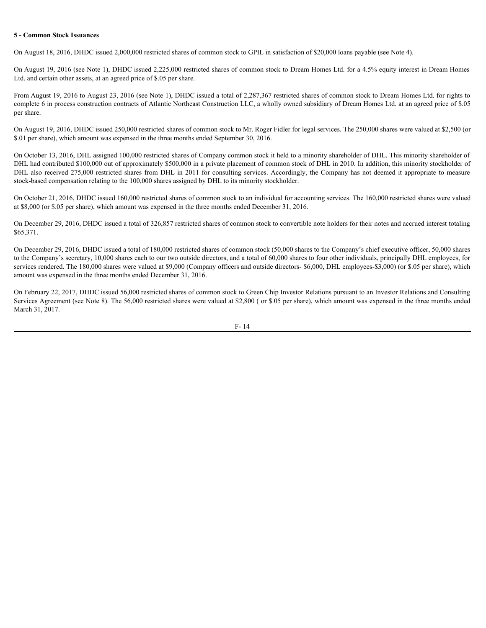#### **5 - Common Stock Issuances**

On August 18, 2016, DHDC issued 2,000,000 restricted shares of common stock to GPIL in satisfaction of \$20,000 loans payable (see Note 4).

On August 19, 2016 (see Note 1), DHDC issued 2,225,000 restricted shares of common stock to Dream Homes Ltd. for a 4.5% equity interest in Dream Homes Ltd. and certain other assets, at an agreed price of \$.05 per share.

From August 19, 2016 to August 23, 2016 (see Note 1), DHDC issued a total of 2,287,367 restricted shares of common stock to Dream Homes Ltd. for rights to complete 6 in process construction contracts of Atlantic Northeast Construction LLC, a wholly owned subsidiary of Dream Homes Ltd. at an agreed price of \$.05 per share.

On August 19, 2016, DHDC issued 250,000 restricted shares of common stock to Mr. Roger Fidler for legal services. The 250,000 shares were valued at \$2,500 (or \$.01 per share), which amount was expensed in the three months ended September 30, 2016.

On October 13, 2016, DHL assigned 100,000 restricted shares of Company common stock it held to a minority shareholder of DHL. This minority shareholder of DHL had contributed \$100,000 out of approximately \$500,000 in a private placement of common stock of DHL in 2010. In addition, this minority stockholder of DHL also received 275,000 restricted shares from DHL in 2011 for consulting services. Accordingly, the Company has not deemed it appropriate to measure stock-based compensation relating to the 100,000 shares assigned by DHL to its minority stockholder.

On October 21, 2016, DHDC issued 160,000 restricted shares of common stock to an individual for accounting services. The 160,000 restricted shares were valued at \$8,000 (or \$.05 per share), which amount was expensed in the three months ended December 31, 2016.

On December 29, 2016, DHDC issued a total of 326,857 restricted shares of common stock to convertible note holders for their notes and accrued interest totaling \$65,371.

On December 29, 2016, DHDC issued a total of 180,000 restricted shares of common stock (50,000 shares to the Company's chief executive officer, 50,000 shares to the Company's secretary, 10,000 shares each to our two outside directors, and a total of 60,000 shares to four other individuals, principally DHL employees, for services rendered. The 180,000 shares were valued at \$9,000 (Company officers and outside directors- \$6,000, DHL employees-\$3,000) (or \$.05 per share), which amount was expensed in the three months ended December 31, 2016.

On February 22, 2017, DHDC issued 56,000 restricted shares of common stock to Green Chip Investor Relations pursuant to an Investor Relations and Consulting Services Agreement (see Note 8). The 56,000 restricted shares were valued at \$2,800 (or \$.05 per share), which amount was expensed in the three months ended March 31, 2017.

$$
F-14
$$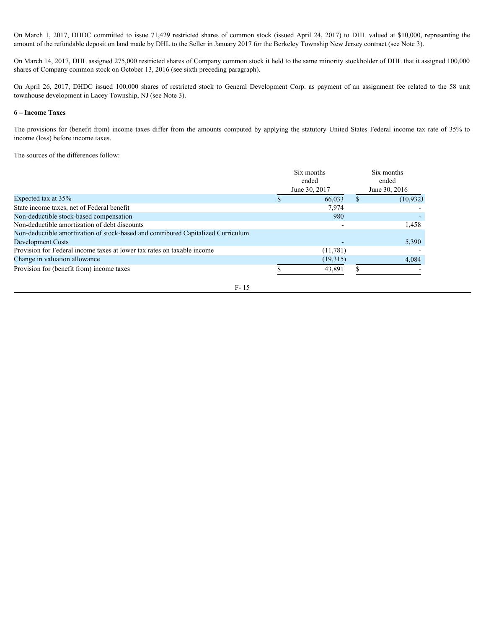On March 1, 2017, DHDC committed to issue 71,429 restricted shares of common stock (issued April 24, 2017) to DHL valued at \$10,000, representing the amount of the refundable deposit on land made by DHL to the Seller in Ja amount of the refundable deposit on land made by DHL to the Seller in January 2017 for the Berkeley Township New Jersey contract (see Note 3). On March 1, 2017, DHDC committed to issue 71,429 restricted shares of common stock (issued April 24, 2017) to DHL valued at \$10,000, representing the amount of the refundable deposit on land made by DHL to the Seller in Ja

## **6 – Income Taxes**

| On March 1, 2017, DHDC committed to issue 71,429 restricted shares of common stock (issued April 24, 2017) to DHL valued at \$10,000, representing the                                                                                            |              |                          |              |               |  |
|---------------------------------------------------------------------------------------------------------------------------------------------------------------------------------------------------------------------------------------------------|--------------|--------------------------|--------------|---------------|--|
| amount of the refundable deposit on land made by DHL to the Seller in January 2017 for the Berkeley Township New Jersey contract (see Note 3).                                                                                                    |              |                          |              |               |  |
|                                                                                                                                                                                                                                                   |              |                          |              |               |  |
| On March 14, 2017, DHL assigned 275,000 restricted shares of Company common stock it held to the same minority stockholder of DHL that it assigned 100,000<br>shares of Company common stock on October 13, 2016 (see sixth preceding paragraph). |              |                          |              |               |  |
| On April 26, 2017, DHDC issued 100,000 shares of restricted stock to General Development Corp. as payment of an assignment fee related to the 58 unit                                                                                             |              |                          |              |               |  |
| townhouse development in Lacey Township, NJ (see Note 3).                                                                                                                                                                                         |              |                          |              |               |  |
|                                                                                                                                                                                                                                                   |              |                          |              |               |  |
| 6 - Income Taxes                                                                                                                                                                                                                                  |              |                          |              |               |  |
| The provisions for (benefit from) income taxes differ from the amounts computed by applying the statutory United States Federal income tax rate of 35% to<br>income (loss) before income taxes.                                                   |              |                          |              |               |  |
|                                                                                                                                                                                                                                                   |              |                          |              |               |  |
| The sources of the differences follow:                                                                                                                                                                                                            |              |                          |              |               |  |
|                                                                                                                                                                                                                                                   |              | Six months               |              | Six months    |  |
|                                                                                                                                                                                                                                                   |              | ended                    |              | ended         |  |
|                                                                                                                                                                                                                                                   |              | June 30, 2017            |              | June 30, 2016 |  |
| Expected tax at 35%                                                                                                                                                                                                                               | $\mathbb{S}$ | 66,033                   | <sup>S</sup> | (10, 932)     |  |
| State income taxes, net of Federal benefit                                                                                                                                                                                                        |              | 7,974                    |              |               |  |
| Non-deductible stock-based compensation                                                                                                                                                                                                           |              | 980                      |              |               |  |
|                                                                                                                                                                                                                                                   |              | $\overline{\phantom{a}}$ |              | 1,458         |  |
| Non-deductible amortization of debt discounts                                                                                                                                                                                                     |              |                          |              |               |  |
| Non-deductible amortization of stock-based and contributed Capitalized Curriculum                                                                                                                                                                 |              |                          |              |               |  |
| <b>Development Costs</b>                                                                                                                                                                                                                          |              |                          |              | 5,390         |  |
| Provision for Federal income taxes at lower tax rates on taxable income                                                                                                                                                                           |              | (11, 781)                |              |               |  |
| Change in valuation allowance                                                                                                                                                                                                                     |              | (19,315)                 |              | 4,084         |  |
| Provision for (benefit from) income taxes                                                                                                                                                                                                         |              | 43,891                   | S.           |               |  |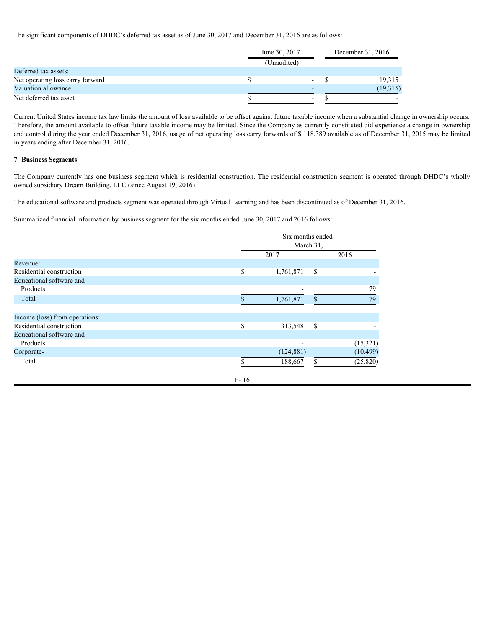The significant components of DHDC's deferred tax asset as of June 30, 2017 and December 31, 2016 are as follows:

|                                  | June 30, 2017 |                          |  | December 31, 2016        |  |
|----------------------------------|---------------|--------------------------|--|--------------------------|--|
|                                  | (Unaudited)   |                          |  |                          |  |
| Deferred tax assets:             |               |                          |  |                          |  |
| Net operating loss carry forward |               | $\overline{\phantom{a}}$ |  | 19,315                   |  |
| Valuation allowance              |               |                          |  | (19,315)                 |  |
| Net deferred tax asset           |               |                          |  | $\overline{\phantom{0}}$ |  |

Current United States income tax law limits the amount of loss available to be offset against future taxable income when a substantial change in ownership occurs. Therefore, the amount available to offset future taxable income may be limited. Since the Company as currently constituted did experience a change in ownership and control during the year ended December 31, 2016, usage of net operating loss carry forwards of \$ 118,389 available as of December 31, 2015 may be limited in years ending after December 31, 2016.

# **7- Business Segments**

The Company currently has one business segment which is residential construction. The residential construction segment is operated through DHDC's wholly owned subsidiary Dream Building, LLC (since August 19, 2016).

The educational software and products segment was operated through Virtual Learning and has been discontinued as of December 31, 2016.

Summarized financial information by business segment for the six months ended June 30, 2017 and 2016 follows:

|                                |               | Six months ended<br>March 31, |               |           |  |  |  |  |  |
|--------------------------------|---------------|-------------------------------|---------------|-----------|--|--|--|--|--|
|                                |               | 2017                          |               | 2016      |  |  |  |  |  |
| Revenue:                       |               |                               |               |           |  |  |  |  |  |
| Residential construction       | \$            | 1,761,871                     | \$            |           |  |  |  |  |  |
| Educational software and       |               |                               |               |           |  |  |  |  |  |
| Products                       |               | $\overline{\phantom{a}}$      |               | 79        |  |  |  |  |  |
| Total                          |               | 1,761,871                     |               | 79        |  |  |  |  |  |
|                                |               |                               |               |           |  |  |  |  |  |
| Income (loss) from operations: |               |                               |               |           |  |  |  |  |  |
| Residential construction       | <sup>\$</sup> | 313,548                       | <sup>\$</sup> |           |  |  |  |  |  |
| Educational software and       |               |                               |               |           |  |  |  |  |  |
| Products                       |               | $\overline{\phantom{a}}$      |               | (15,321)  |  |  |  |  |  |
| Corporate-                     |               | (124, 881)                    |               | (10, 499) |  |  |  |  |  |
| Total                          |               | 188,667                       |               | (25, 820) |  |  |  |  |  |
|                                | $F-16$        |                               |               |           |  |  |  |  |  |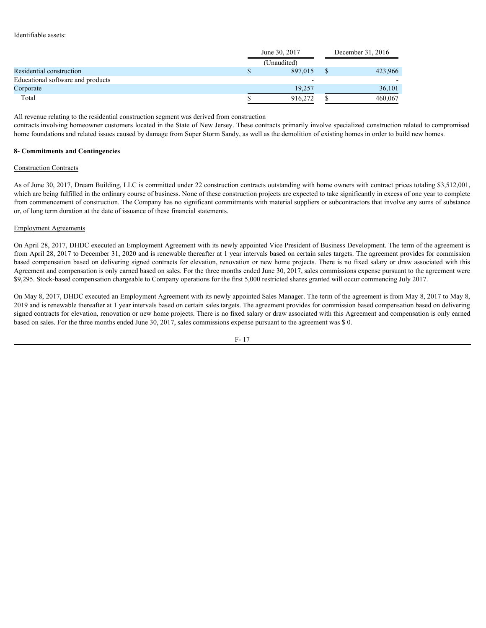#### Identifiable assets:

|                                   | June 30, 2017 |  | December 31, 2016 |  |
|-----------------------------------|---------------|--|-------------------|--|
|                                   | (Unaudited)   |  |                   |  |
| Residential construction          | 897,015       |  | 423,966           |  |
| Educational software and products |               |  |                   |  |
| Corporate                         | 19,257        |  | 36,101            |  |
| Total                             | 916,272       |  | 460,067           |  |
|                                   |               |  |                   |  |

All revenue relating to the residential construction segment was derived from construction

contracts involving homeowner customers located in the State of New Jersey. These contracts primarily involve specialized construction related to compromised home foundations and related issues caused by damage from Super Storm Sandy, as well as the demolition of existing homes in order to build new homes.

#### **8- Commitments and Contingencies**

#### Construction Contracts

As of June 30, 2017, Dream Building, LLC is committed under 22 construction contracts outstanding with home owners with contract prices totaling \$3,512,001, which are being fulfilled in the ordinary course of business. None of these construction projects are expected to take significantly in excess of one year to complete from commencement of construction. The Company has no significant commitments with material suppliers or subcontractors that involve any sums of substance or, of long term duration at the date of issuance of these financial statements.

#### Employment Agreements

On April 28, 2017, DHDC executed an Employment Agreement with its newly appointed Vice President of Business Development. The term of the agreement is from April 28, 2017 to December 31, 2020 and is renewable thereafter at 1 year intervals based on certain sales targets. The agreement provides for commission based compensation based on delivering signed contracts for elevation, renovation or new home projects. There is no fixed salary or draw associated with this Agreement and compensation is only earned based on sales. For the three months ended June 30, 2017, sales commissions expense pursuant to the agreement were \$9,295. Stock-based compensation chargeable to Company operations for the first 5,000 restricted shares granted will occur commencing July 2017.

On May 8, 2017, DHDC executed an Employment Agreement with its newly appointed Sales Manager. The term of the agreement is from May 8, 2017 to May 8, 2019 and is renewable thereafter at 1 year intervals based on certain sales targets. The agreement provides for commission based compensation based on delivering signed contracts for elevation, renovation or new home projects. There is no fixed salary or draw associated with this Agreement and compensation is only earned based on sales. For the three months ended June 30, 2017, sales commissions expense pursuant to the agreement was \$ 0.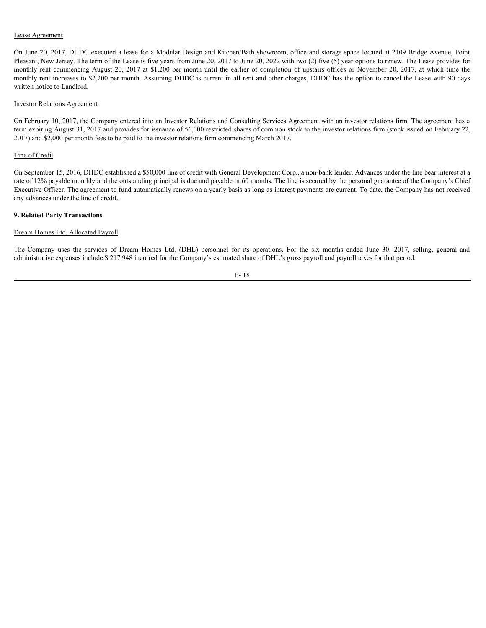### Lease Agreement

On June 20, 2017, DHDC executed a lease for a Modular Design and Kitchen/Bath showroom, office and storage space located at 2109 Bridge Avenue, Point Pleasant, New Jersey. The term of the Lease is five years from June 20, 2017 to June 20, 2022 with two (2) five (5) year options to renew. The Lease provides for Lease Agreement<br>On June 20, 2017, DHDC executed a lease for a Modular Design and Kitchen/Bath showroom, office and storage space located at 2109 Bridge Avenue, Point<br>Pleasant, New Jersey. The term of the Lease is five year monthly rent increases to \$2,200 per month. Assuming DHDC is current in all rent and other charges, DHDC has the option to cancel the Lease with 90 days written notice to Landlord. Lesse. Agreement<br>Thesen, New 2013, D11 DHDC creamed a lesse for a Mohlar Design and Kirken-Beh deservices in the seri person between New Julie and Theorem (New York and New York and New York and New York and New York and

# Investor Relations Agreement

On February 10, 2017, the Company entered into an Investor Relations and Consulting Services Agreement with an investor relations firm. The agreement has a term expiring August 31, 2017 and provides for issuance of 56,000 restricted shares of common stock to the investor relations firm (stock issued on February 22, 2017) and \$2,000 per month fees to be paid to the investor relations firm commencing March 2017.

#### Line of Credit

On September 15, 2016, DHDC established a \$50,000 line of credit with General Development Corp., a non-bank lender. Advances under the line bear interest at a rate of 12% payable monthly and the outstanding principal is due and payable in 60 months. The line is secured by the personal guarantee of the Company's Chief Executive Officer. The agreement to fund automatically renews on a yearly basis as long as interest payments are current. To date, the Company has not received any advances under the line of credit.

#### **9. Related Party Transactions**

#### Dream Homes Ltd. Allocated Payroll

administrative expenses include \$ 217,948 incurred for the Company's estimated share of DHL's gross payroll and payroll taxes for that period.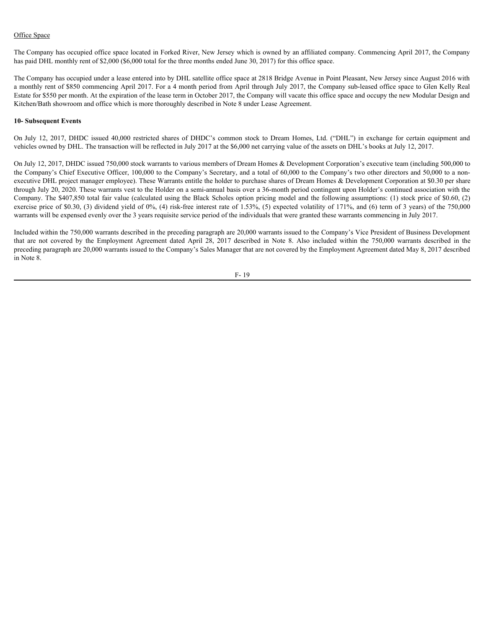## Office Space

The Company has occupied office space located in Forked River, New Jersey which is owned by an affiliated company. Commencing April 2017, the Company has paid DHL monthly rent of \$2,000 (\$6,000 total for the three months ended June 30, 2017) for this office space.

The Company has occupied under a lease entered into by DHL satellite office space at 2818 Bridge Avenue in Point Pleasant, New Jersey since August 2016 with a monthly rent of \$850 commencing April 2017. For a 4 month period from April through July 2017, the Company sub-leased office space to Glen Kelly Real Estate for \$550 per month. At the expiration of the lease term in October 2017, the Company will vacate this office space and occupy the new Modular Design and Kitchen/Bath showroom and office which is more thoroughly described in Note 8 under Lease Agreement.

## **10- Subsequent Events**

vehicles owned by DHL. The transaction will be reflected in July 2017 at the \$6,000 net carrying value of the assets on DHL's books at July 12, 2017.

Office Space<br>The Company has occupied office space located in Forked River, New Jersey which is owned by an affiliated company. Commencing April 2017, the Company<br>has paid DHI. monthly rent of \$2,000 (86,000 total for the On July 12, 2017, DHDC issued 750,000 stock warrants to various members of Dream Homes & Development Corporation's executive team (including 500,000 to the Company's Chief Executive Officer, 100,000 to the Company's Secretary, and a total of 60,000 to the Company's two other directors and 50,000 to a nonexecutive DHL project manager employee). These Warrants entitle the holder to purchase shares of Dream Homes & Development Corporation at \$0.30 per share through July 20, 2020. These warrants vest to the Holder on a semi-annual basis over a 36-month period contingent upon Holder's continued association with the Company. The \$407,850 total fair value (calculated using the Black Scholes option pricing model and the following assumptions: (1) stock price of \$0.60, (2) exercise price of \$0.30, (3) dividend yield of 0%, (4) risk-free interest rate of 1.53%, (5) expected volatility of 171%, and (6) term of 3 years) of the 750,000 warrants will be expensed evenly over the 3 years requisite service period of the individuals that were granted these warrants commencing in July 2017. **Office Space**<br>The Company has occupied office space located in Forbod River. New Jenery which is evend by an affiliated company. Commencing April 2017, the Company<br>Interference with S2, 2016 (MoV for the distribution tha

Included within the 750,000 warrants described in the preceding paragraph are 20,000 warrants issued to the Company's Vice President of Business Development preceding paragraph are 20,000 warrants issued to the Company's Sales Manager that are not covered by the Employment Agreement dated May 8, 2017 described in Note 8.

$$
F-19
$$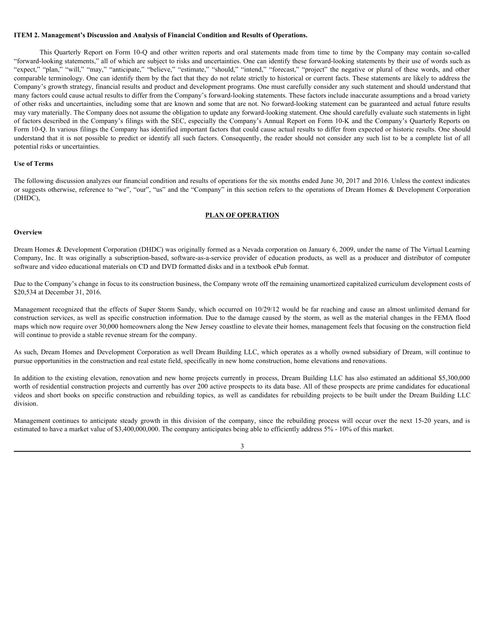#### **ITEM 2. Management's Discussion and Analysis of Financial Condition and Results of Operations.**

**Management's Discussion and Analysis of Financial Condition and Results of Operations.**<br>This Quarterly Report on Form 10-Q and other written reports and oral statements made from time to time by the Company may contain so "forward-looking statements," all of which are subject to risks and uncertainties. One can identify these forward-looking statements by their use of words such as TTEM 2. Management's Discussion and Analysis of Financial Condition and Results of Operations.<br>
This Quarterly Report on Form 10-Q and other written reports and oral statements made from time to time by the Company may con comparable terminology. One can identify them by the fact that they do not relate strictly to historical or current facts. These statements are likely to address the Company's growth strategy, financial results and product and development programs. One must carefully consider any such statement and should understand that many factors could cause actual results to differ from the Company's forward-looking statements. These factors include inaccurate assumptions and a broad variety of other risks and uncertainties, including some that are known and some that are not. No forward-looking statement can be guaranteed and actual future results may vary materially. The Company does not assume the obligation to update any forward-looking statement. One should carefully evaluate such statements in light of factors described in the Company's filings with the SEC, especially the Company's Annual Report on Form 10-K and the Company's Quarterly Reports on Form 10-Q. In various filings the Company has identified important factors that could cause actual results to differ from expected or historic results. One should understand that it is not possible to predict or identify all such factors. Consequently, the reader should not consider any such list to be a complete list of all potential risks or uncertainties. TIFM 2. Management's Discussion and Analysis of Financial Condition and Results of Operations.<br>
This Quatterly Report on Form 10-Q and other witten reports and can also from the subscription-based both associations of the

#### **Use of Terms**

The following discussion analyzes our financial condition and results of operations for the six months ended June 30, 2017 and 2016. Unless the context indicates or suggests otherwise, reference to "we", "our", "us" and the "Company" in this section refers to the operations of Dream Homes & Development Corporation (DHDC),

## **PLAN OF OPERATION**

#### **Overview Overview** *Overview*

Dream Homes & Development Corporation (DHDC) was originally formed as a Nevada corporation on January 6, 2009, under the name of The Virtual Learning software and video educational materials on CD and DVD formatted disks and in a textbook ePub format.

Due to the Company's change in focus to its construction business, the Company wrote off the remaining unamortized capitalized curriculum development costs of \$20,534 at December 31, 2016.

Management recognized that the effects of Super Storm Sandy, which occurred on 10/29/12 would be far reaching and cause an almost unlimited demand for construction services, as well as specific construction information. Due to the damage caused by the storm, as well as the material changes in the FEMA flood maps which now require over 30,000 homeowners along the New Jersey coastline to elevate their homes, management feels that focusing on the construction field will continue to provide a stable revenue stream for the company. Use of Terms<br>The bilowing discussion analyzes our funnoial condition and centure of the six continues for the six months continues of Dark Hindeles Schemes Consent indicenses<br>an expected accretic reference to "we", "out".

As such, Dream Homes and Development Corporation as well Dream Building LLC, which operates as a wholly owned subsidiary of Dream, will continue to pursue opportunities in the construction and real estate field, specifically in new home construction, home elevations and renovations.

In addition to the existing elevation, renovation and new home projects currently in process, Dream Building LLC has also estimated an additional \$5,300,000 worth of residential construction projects and currently has over 200 active prospects to its data base. All of these prospects are prime candidates for educational videos and short books on specific construction and rebuilding topics, as well as candidates for rebuilding projects to be built under the Dream Building LLC division.

estimated to have a market value of \$3,400,000,000. The company anticipates being able to efficiently address 5% - 10% of this market.

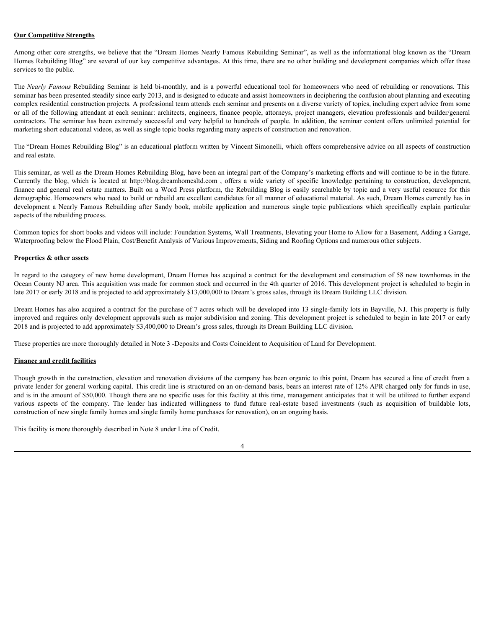#### **Our Competitive Strengths**

Among other core strengths, we believe that the "Dream Homes Nearly Famous Rebuilding Seminar", as well as the informational blog known as the "Dream Homes Rebuilding Blog" are several of our key competitive advantages. At this time, there are no other building and development companies which offer these services to the public.

**Our Competitive Strengths**<br>Among other core strengths, we believe that the "Dream Homes Nearly Famous Rebuilding Seminar", as well as the informational blog known as the "Dream<br>Homes Rebuilding Blog" are several of our ke seminar has been presented steadily since early 2013, and is designed to educate and assist homeowners in deciphering the confusion about planning and executing complex residential construction projects. A professional team attends each seminar and presents on a diverse variety of topics, including expert advice from some or all of the following attendant at each seminar: architects, engineers, finance people, attorneys, project managers, elevation professionals and builder/general contractors. The seminar has been extremely successful and very helpful to hundreds of people. In addition, the seminar content offers unlimited potential for marketing short educational videos, as well as single topic books regarding many aspects of construction and renovation.

The "Dream Homes Rebuilding Blog" is an educational platform written by Vincent Simonelli, which offers comprehensive advice on all aspects of construction and real estate.

This seminar, as well as the Dream Homes Rebuilding Blog, have been an integral part of the Company's marketing efforts and will continue to be in the future. **Our Competitive Strengths**<br>
Among ether over strengths, we believe that the "Dream Homes Neurly Famous Rebuilding Seminar", as well as the informational blog known as the "Dream<br>
Homes Rebuilding Blog" are several of our **Our Competitive Strengths**<br>
Among other core strengths, we believe that the "Dream Homes Nearly Farmous Rebuilding Seminan", as well as the informational blog known as the "Dream<br>
Homes Rebuilding Blog "are several of our demographic. Homeowners who need to build or rebuild are excellent candidates for all manner of educational material. As such, Dream Homes currently has in **Our Competitive Streaghs**<br>Among other core strengths, we believe that the "Dream Homes Nearly Famous Rebuilding Seminar", as well as the informational blog known as the "Dream<br>Homes Rehuiding Riog" re several of our key c aspects of the rebuilding process. The Treachest Associate Rhog' is an educational platform sotion by Vinconi Sireconii), such a first comprehensive and in a period of the Sireconii). This emission as the Based of corresponding Rhog between the state of the

Common topics for short books and videos will include: Foundation Systems, Wall Treatments, Elevating your Home to Allow for a Basement, Adding a Garage, Waterproofing below the Flood Plain, Cost/Benefit Analysis of Various Improvements, Siding and Roofing Options and numerous other subjects.

### **Properties & other assets**

In regard to the category of new home development, Dream Homes has acquired a contract for the development and construction of 58 new townhomes in the Ocean County NJ area. This acquisition was made for common stock and occurred in the 4th quarter of 2016. This development project is scheduled to begin in late 2017 or early 2018 and is projected to add approximately \$13,000,000 to Dream's gross sales, through its Dream Building LLC division.

Dream Homes has also acquired a contract for the purchase of 7 acres which will be developed into 13 single-family lots in Bayville, NJ. This property is fully improved and requires only development approvals such as major subdivision and zoning. This development project is scheduled to begin in late 2017 or early 2018 and is projected to add approximately \$3,400,000 to Dream's gross sales, through its Dream Building LLC division.

These properties are more thoroughly detailed in Note 3 -Deposits and Costs Coincident to Acquisition of Land for Development.

#### **Finance and credit facilities**

Though growth in the construction, elevation and renovation divisions of the company has been organic to this point, Dream has secured a line of credit from a private lender for general working capital. This credit line is structured on an on-demand basis, bears an interest rate of 12% APR charged only for funds in use, and is in the amount of \$50,000. Though there are no specific uses for this facility at this time, management anticipates that it will be utilized to further expand construction of new single family homes and single family home purchases for renovation), on an ongoing basis.

This facility is more thoroughly described in Note 8 under Line of Credit.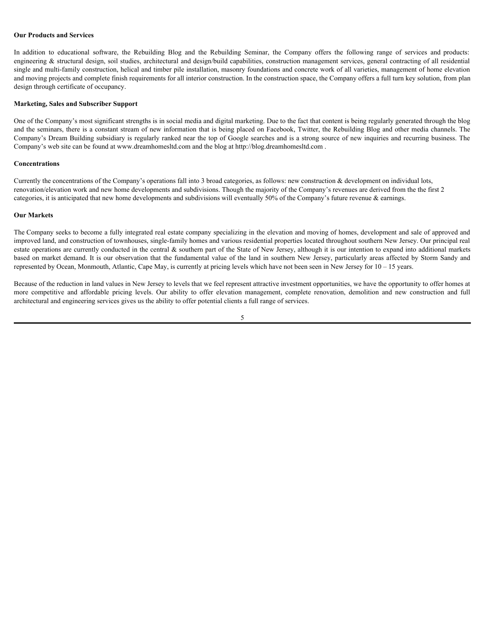#### **Our Products and Services**

**In addition to educational software**, the Rebuilding Blog and the Rebuilding Seminar, the Company offers the following range of services and products:<br>engineering & structural design, soil studies, architectural and desig engineering & structural design, soil studies, architectural and design/build capabilities, construction management services, general contracting of all residential single and multi-family construction, helical and timber pile installation, masonry foundations and concrete work of all varieties, management of home elevation and moving projects and complete finish requirements for all interior construction. In the construction space, the Company offers a full turn key solution, from plan design through certificate of occupancy.

#### **Marketing, Sales and Subscriber Support**

One of the Company's most significant strengths is in social media and digital marketing. Due to the fact that content is being regularly generated through the blog and the seminars, there is a constant stream of new information that is being placed on Facebook, Twitter, the Rebuilding Blog and other media channels. The Company's Dream Building subsidiary is regularly ranked near the top of Google searches and is a strong source of new inquiries and recurring business. The Company's web site can be found at www.dreamhomesltd.com and the blog at http://blog.dreamhomesltd.com .

#### **Concentrations**

Currently the concentrations of the Company's operations fall into 3 broad categories, as follows: new construction  $\&$  development on individual lots, renovation/elevation work and new home developments and subdivisions. Though the majority of the Company's revenues are derived from the the first 2 categories, it is anticipated that new home developments and subdivisions will eventually 50% of the Company's future revenue & earnings.

#### **Our Markets**

The Company seeks to become a fully integrated real estate company specializing in the elevation and moving of homes, development and sale of approved and improved land, and construction of townhouses, single-family homes and various residential properties located throughout southern New Jersey. Our principal real estate operations are currently conducted in the central & southern part of the State of New Jersey, although it is our intention to expand into additional markets based on market demand. It is our observation that the fundamental value of the land in southern New Jersey, particularly areas affected by Storm Sandy and represented by Ocean, Monmouth, Atlantic, Cape May, is currently at pricing levels which have not been seen in New Jersey for 10 – 15 years. Our Products and Services<br>In dodico to columinal statement, the Rebuilding Blog and the Relation, and accompany offers the Goloving range of services and products<br>angularities of the substitution and intervention and desi

Because of the reduction in land values in New Jersey to levels that we feel represent attractive investment opportunities, we have the opportunity to offer homes at architectural and engineering services gives us the ability to offer potential clients a full range of services.

5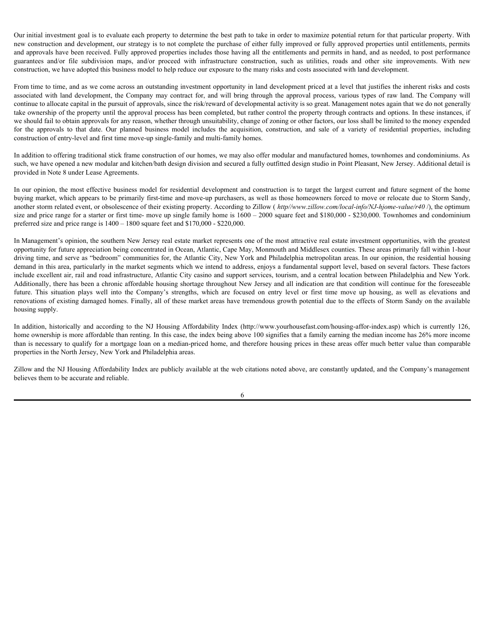Our initial investment goal is to evaluate each property to determine the best path to take in order to maximize potential return for that particular property. With new construction and development, our strategy is to not complete the purchase of either fully improved or fully approved properties until entitlements, permits and approvals have been received. Fully approved properties includes those having all the entitlements and permits in hand, and as needed, to post performance construction, we have adopted this business model to help reduce our exposure to the many risks and costs associated with land development.

Our initial investment goal is to evaluate each property to determine the best path to take in order to maximize potential return for that particular property. With<br>new construction and development, our strategy is to not From time to time, and as we come across an outstanding investment opportunity in land development priced at a level that justifies the inherent risks and costs Our initial investment goal is to evaluate each property to determine the best path to take in order to maximize potential return for that particular property. With<br>new construction and development, our strategy is to not continue to allocate capital in the pursuit of approvals, since the risk/reward of developmental activity is so great. Management notes again that we do not generally take ownership of the property until the approval process has been completed, but rather control the property through contracts and options. In these instances, if we should fail to obtain approvals for any reason, whether through unsuitability, change of zoning or other factors, our loss shall be limited to the money expended Our initial investment goal is to evaluate each property to determine the best path to take in order to maximize potential return for that particular property. With<br>new construction and development, our strategy is to not construction of entry-level and first time move-up single-family and multi-family homes.

In addition to offering traditional stick frame construction of our homes, we may also offer modular and manufactured homes, townhomes and condominiums. As such, we have opened a new modular and kitchen/bath design division and secured a fully outfitted design studio in Point Pleasant, New Jersey. Additional detail is provided in Note 8 under Lease Agreements.

In our opinion, the most effective business model for residential development and construction is to target the largest current and future segment of the home buying market, which appears to be primarily first-time and move-up purchasers, as well as those homeowners forced to move or relocate due to Storm Sandy, another storm related event, or obsolescence of their existing property. According to Zillow ( *http//www.zillow.com/local-info/NJ-hjome-value/r40* /), the optimum size and price range for a starter or first time- move up single family home is  $1600 - 2000$  square feet and \$180,000 - \$230,000. Townhomes and condominium preferred size and price range is 1400 – 1800 square feet and \$170,000 - \$220,000.

In Management's opinion, the southern New Jersey real estate market represents one of the most attractive real estate investment opportunities, with the greatest opportunity for future appreciation being concentrated in Ocean, Atlantic, Cape May, Monmouth and Middlesex counties. These areas primarily fall within 1-hour driving time, and serve as "bedroom" communities for, the Atlantic City, New York and Philadelphia metropolitan areas. In our opinion, the residential housing demand in this area, particularly in the market segments which we intend to address, enjoys a fundamental support level, based on several factors. These factors include excellent air, rail and road infrastructure, Atlantic City casino and support services, tourism, and a central location between Philadelphia and New York. Additionally, there has been a chronic affordable housing shortage throughout New Jersey and all indication are that condition will continue for the foreseeable Out his discussions pel into contains considered to be more than the most of the most one for the most one for the most of the most one of the most one of the most of the most of the most of the most of the most of the mo renovations of existing damaged homes. Finally, all of these market areas have tremendous growth potential due to the effects of Storm Sandy on the available housing supply. sontraction, we have adopted this business model to help reduce on expension (a) from the note of Form the total as a coron controllation (a) index developeration for the developeration for the developeration of the devel

home ownership is more affordable than renting. In this case, the index being above 100 signifies that a family earning the median income has 26% more income than is necessary to qualify for a mortgage loan on a median-priced home, and therefore housing prices in these areas offer much better value than comparable properties in the North Jersey, New York and Philadelphia areas.

Zillow and the NJ Housing Affordability Index are publicly available at the web citations noted above, are constantly updated, and the Company's management believes them to be accurate and reliable.

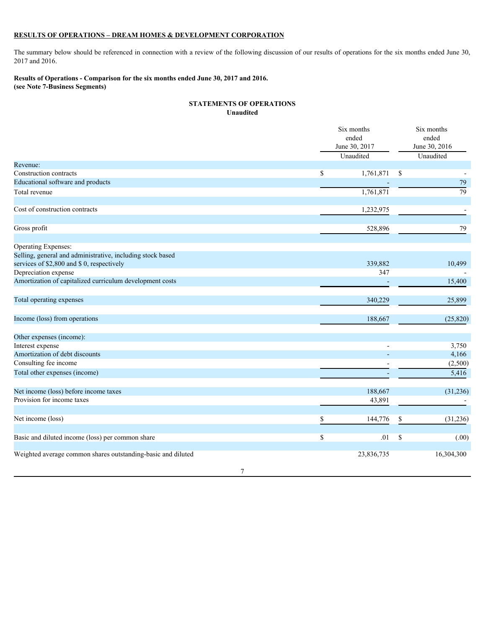# **RESULTS OF OPERATIONS – DREAM HOMES & DEVELOPMENT CORPORATION**

The summary below should be referenced in connection with a review of the following discussion of our results of operations for the six months ended June 30, 2017 and 2016.

**Results of Operations - Comparison for the six months ended June 30, 2017 and 2016. (see Note 7-Business Segments)**

# **STATEMENTS OF OPERATIONS Unaudited**

|                                                              |    | Six months<br>ended<br>June 30, 2017 |      | Six months<br>ended<br>June 30, 2016 |
|--------------------------------------------------------------|----|--------------------------------------|------|--------------------------------------|
|                                                              |    | Unaudited                            |      | Unaudited                            |
| Revenue:                                                     |    |                                      |      |                                      |
| Construction contracts                                       | \$ | 1,761,871 \$                         |      |                                      |
| Educational software and products                            |    |                                      |      | 79                                   |
| Total revenue                                                |    | 1,761,871                            |      | 79                                   |
| Cost of construction contracts                               |    | 1,232,975                            |      |                                      |
| Gross profit                                                 |    | 528,896                              |      | 79                                   |
|                                                              |    |                                      |      |                                      |
| Operating Expenses:                                          |    |                                      |      |                                      |
| Selling, general and administrative, including stock based   |    |                                      |      |                                      |
| services of \$2,800 and \$0, respectively                    |    | 339,882                              |      | 10,499                               |
| Depreciation expense                                         |    | 347                                  |      |                                      |
| Amortization of capitalized curriculum development costs     |    |                                      |      | 15,400                               |
| Total operating expenses                                     |    | 340,229                              |      | 25,899                               |
| Income (loss) from operations                                |    | 188,667                              |      | (25, 820)                            |
| Other expenses (income):                                     |    |                                      |      |                                      |
| Interest expense                                             |    |                                      |      | 3,750                                |
| Amortization of debt discounts                               |    |                                      |      | 4,166                                |
| Consulting fee income                                        |    |                                      |      | (2,500)                              |
| Total other expenses (income)                                |    |                                      |      | 5,416                                |
| Net income (loss) before income taxes                        |    | 188,667                              |      | (31,236)                             |
| Provision for income taxes                                   |    | 43,891                               |      |                                      |
| Net income (loss)                                            | S  | 144,776                              | \$   | (31,236)                             |
|                                                              |    |                                      |      |                                      |
| Basic and diluted income (loss) per common share             | \$ | .01                                  | - \$ | (.00)                                |
| Weighted average common shares outstanding-basic and diluted |    | 23,836,735                           |      | 16,304,300                           |
| $\mathcal{L}$                                                |    |                                      |      |                                      |

7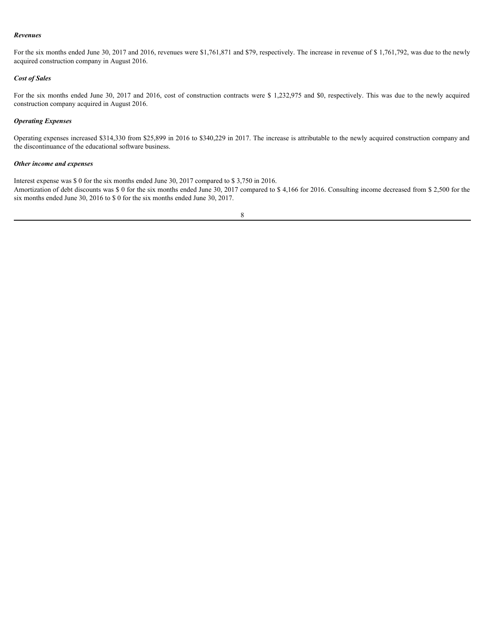#### *Revenues*

For the six months ended June 30, 2017 and 2016, revenues were \$1,761,871 and \$79, respectively. The increase in revenue of \$1,761,792, was due to the newly acquired construction company in August 2016.

## *Cost of Sales*

**Revenues**<br>For the six months ended June 30, 2017 and 2016, revenues were \$1,761,871 and \$79, respectively. The increase in revenue of \$1,761,792, was due to the newly<br>acquired construction company in August 2016.<br>For the construction company acquired in August 2016.

#### *Operating Expenses*

Operating expenses increased \$314,330 from \$25,899 in 2016 to \$340,229 in 2017. The increase is attributable to the newly acquired construction company and the discontinuance of the educational software business.

# *Other income and expenses*

Interest expense was \$ 0 for the six months ended June 30, 2017 compared to \$ 3,750 in 2016. Amortization of debt discounts was \$ 0 for the six months ended June 30, 2017 compared to \$ 4,166 for 2016. Consulting income decreased from \$ 2,500 for the six months ended June 30, 2016 to \$ 0 for the six months ended June 30, 2017.

8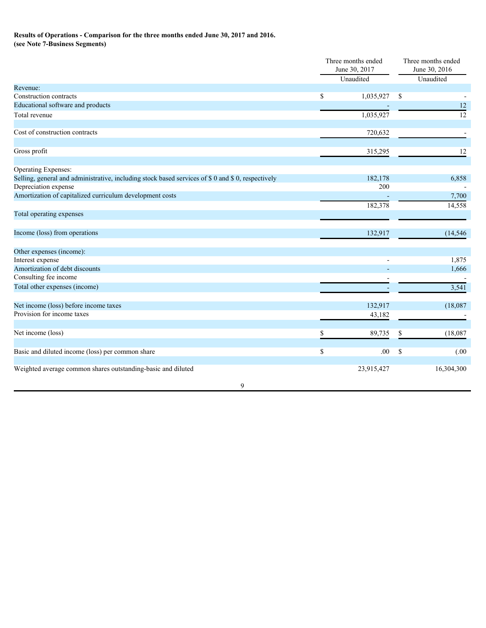# **Results of Operations - Comparison for the three months ended June 30, 2017 and 2016. (see Note 7-Business Segments)**

|                                                                                                  | Three months ended<br>June 30, 2017 |              | Three months ended<br>June 30, 2016 |            |  |
|--------------------------------------------------------------------------------------------------|-------------------------------------|--------------|-------------------------------------|------------|--|
|                                                                                                  |                                     | Unaudited    |                                     | Unaudited  |  |
| Revenue:                                                                                         |                                     |              |                                     |            |  |
| Construction contracts                                                                           | \$                                  | 1,035,927 \$ |                                     |            |  |
| Educational software and products                                                                |                                     |              |                                     | 12         |  |
| Total revenue                                                                                    |                                     | 1,035,927    |                                     | 12         |  |
| Cost of construction contracts                                                                   |                                     | 720,632      |                                     |            |  |
| Gross profit                                                                                     |                                     | 315,295      |                                     | 12         |  |
|                                                                                                  |                                     |              |                                     |            |  |
| Operating Expenses:                                                                              |                                     |              |                                     |            |  |
| Selling, general and administrative, including stock based services of \$0 and \$0, respectively |                                     | 182,178      |                                     | 6,858      |  |
| Depreciation expense<br>Amortization of capitalized curriculum development costs                 |                                     | 200          |                                     |            |  |
|                                                                                                  |                                     |              |                                     | 7,700      |  |
| Total operating expenses                                                                         |                                     | 182,378      |                                     | 14,558     |  |
|                                                                                                  |                                     |              |                                     |            |  |
| Income (loss) from operations                                                                    |                                     | 132,917      |                                     | (14, 546)  |  |
| Other expenses (income):                                                                         |                                     |              |                                     |            |  |
| Interest expense                                                                                 |                                     |              |                                     | 1,875      |  |
| Amortization of debt discounts                                                                   |                                     |              |                                     | 1,666      |  |
| Consulting fee income                                                                            |                                     |              |                                     |            |  |
| Total other expenses (income)                                                                    |                                     |              |                                     | 3,541      |  |
| Net income (loss) before income taxes                                                            |                                     | 132,917      |                                     | (18,087)   |  |
| Provision for income taxes                                                                       |                                     | 43,182       |                                     |            |  |
| Net income (loss)                                                                                |                                     | 89,735       | \$                                  | (18,087)   |  |
|                                                                                                  |                                     |              |                                     |            |  |
| Basic and diluted income (loss) per common share                                                 | \$                                  | .00.         | <sup>\$</sup>                       | (.00)      |  |
| Weighted average common shares outstanding-basic and diluted                                     |                                     | 23,915,427   |                                     | 16,304,300 |  |
| 9                                                                                                |                                     |              |                                     |            |  |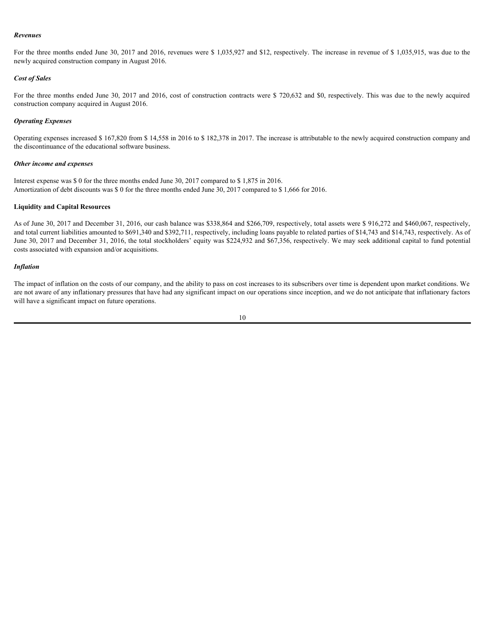#### *Revenues*

For the three months ended June 30, 2017 and 2016, revenues were \$ 1,035,927 and \$12, respectively. The increase in revenue of \$ 1,035,915, was due to the newly acquired construction company in August 2016.

#### *Cost of Sales*

construction company acquired in August 2016.

#### *Operating Expenses*

**Revenues**<br>For the three months ended June 30, 2017 and 2016, revenues were \$ 1,035,927 and \$12, respectively. The increase in revenue of \$ 1,035,915, was due to the<br>**Cost of Sales**<br>For the three months ended June 30, 2017 Operating expenses increased \$ 167,820 from \$ 14,558 in 2016 to \$ 182,378 in 2017. The increase is attributable to the newly acquired construction company and the discontinuance of the educational software business.

#### *Other income and expenses*

Interest expense was \$ 0 for the three months ended June 30, 2017 compared to \$ 1,875 in 2016. Amortization of debt discounts was \$ 0 for the three months ended June 30, 2017 compared to \$ 1,666 for 2016.

#### **Liquidity and Capital Resources**

As of June 30, 2017 and December 31, 2016, our cash balance was \$338,864 and \$266,709, respectively, total assets were \$ 916,272 and \$460,067, respectively, and total current liabilities amounted to \$691,340 and \$392,711, respectively, including loans payable to related parties of \$14,743 and \$14,743, respectively. As of June 30, 2017 and December 31, 2016, the total stockholders' equity was \$224,932 and \$67,356, respectively. We may seek additional capital to fund potential costs associated with expansion and/or acquisitions.

#### *Inflation*

The impact of inflation on the costs of our company, and the ability to pass on cost increases to its subscribers over time is dependent upon market conditions. We are not aware of any inflationary pressures that have had any significant impact on our operations since inception, and we do not anticipate that inflationary factors will have a significant impact on future operations.

10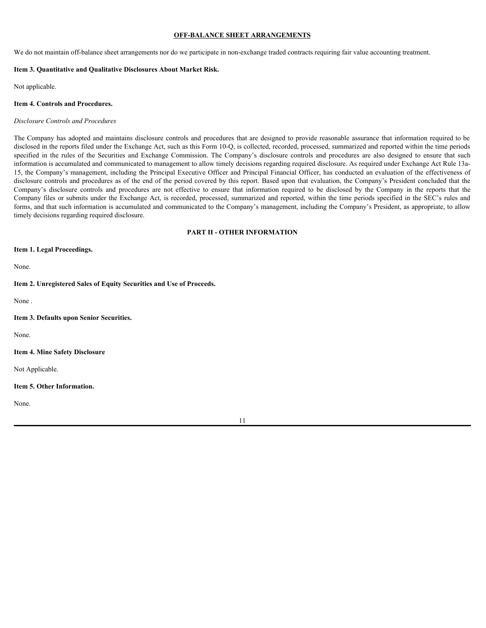## **OFF-BALANCE SHEET ARRANGEMENTS**

We do not maintain off-balance sheet arrangements nor do we participate in non-exchange traded contracts requiring fair value accounting treatment.

#### **Item 3. Quantitative and Qualitative Disclosures About Market Risk.**

Not applicable.

### **Item 4. Controls and Procedures.**

#### *Disclosure Controls and Procedures*

The Company has adopted and maintains disclosure controls and procedures that are designed to provide reasonable assurance that information required to be disclosed in the reports filed under the Exchange Act, such as this Form 10-Q, is collected, recorded, processed, summarized and reported within the time periods **OFF-BALANCE SILEET ARRANGEMIES**<br>
Ve do not maintain off-balance sheet arrangements nor do we participate in non-exchange traded contracts requiring fair value accounting reatment.<br>
Item 3. Quantitative and Qualitative Dis information is accumulated and communicated to management to allow timely decisions regarding required disclosure. As required under Exchange Act Rule 13a-15, the Company's management, including the Principal Executive Officer and Principal Financial Officer, has conducted an evaluation of the effectiveness of disclosure controls and procedures as of the end of the period covered by this report. Based upon that evaluation, the Company's President concluded that the **COF-BALANCE SHEET ARRANGEMIENTS**<br>
Ve do not maintain of Jelalance sheet arrangements aor do we participate in non-exchange traded contracts requiring fair value accounting treatment.<br>
Item 4. Controls and Procedures.<br>
Dis Company files or submits under the Exchange Act, is recorded, processed, summarized and reported, within the time periods specified in the SEC's rules and forms, and that such information is accumulated and communicated to the Company's management, including the Company's President, as appropriate, to allow timely decisions regarding required disclosure.

#### **PART II - OTHER INFORMATION**

### **Item 1. Legal Proceedings.**

None.

## **Item 2. Unregistered Sales of Equity Securities and Use of Proceeds.**

None .

#### **Item 3. Defaults upon Senior Securities.**

None.

### **Item 4. Mine Safety Disclosure**

Not Applicable.

#### **Item 5. Other Information.**

None.

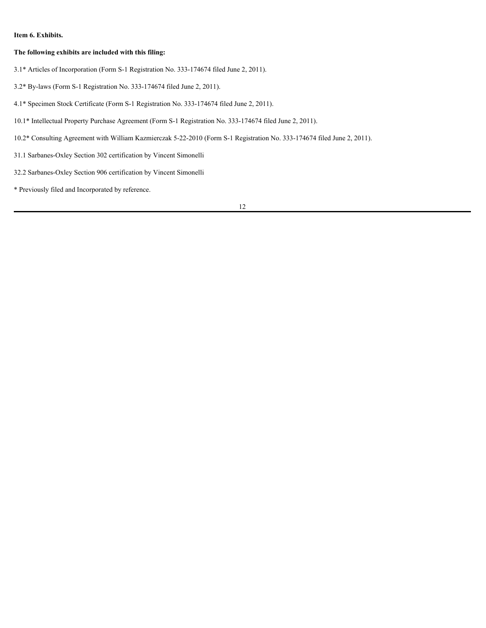# **Item 6. Exhibits.**

# **The following exhibits are included with this filing:**

3.1\* Articles of Incorporation (Form S-1 Registration No. 333-174674 filed June 2, 2011).

- 3.2\* By-laws (Form S-1 Registration No. 333-174674 filed June 2, 2011).
- 4.1\* Specimen Stock Certificate (Form S-1 Registration No. 333-174674 filed June 2, 2011).
- 10.1\* Intellectual Property Purchase Agreement (Form S-1 Registration No. 333-174674 filed June 2, 2011).
- 10.2\* Consulting Agreement with William Kazmierczak 5-22-2010 (Form S-1 Registration No. 333-174674 filed June 2, 2011).
- 31.1 Sarbanes-Oxley Section 302 certification by Vincent Simonelli
- 32.2 Sarbanes-Oxley Section 906 certification by Vincent Simonelli
- \* Previously filed and Incorporated by reference.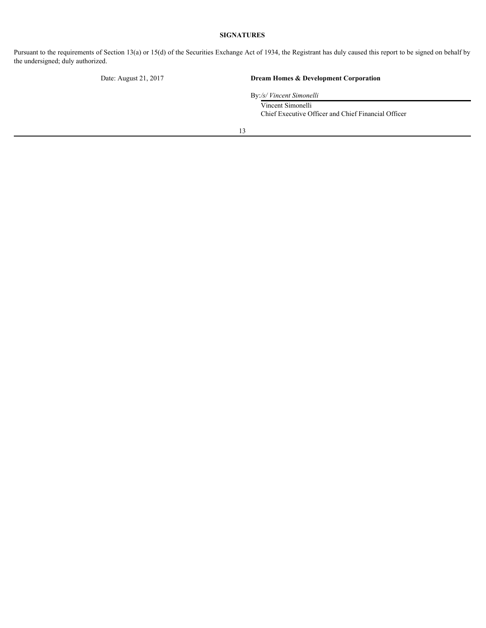# **SIGNATURES**

Pursuant to the requirements of Section 13(a) or 15(d) of the Securities Exchange Act of 1934, the Registrant has duly caused this report to be signed on behalf by the undersigned; duly authorized.

# Date: August 21, 2017 **Dream Homes & Development Corporation**

By:*/s/ Vincent Simonelli*

Vincent Simonelli Chief Executive Officer and Chief Financial Officer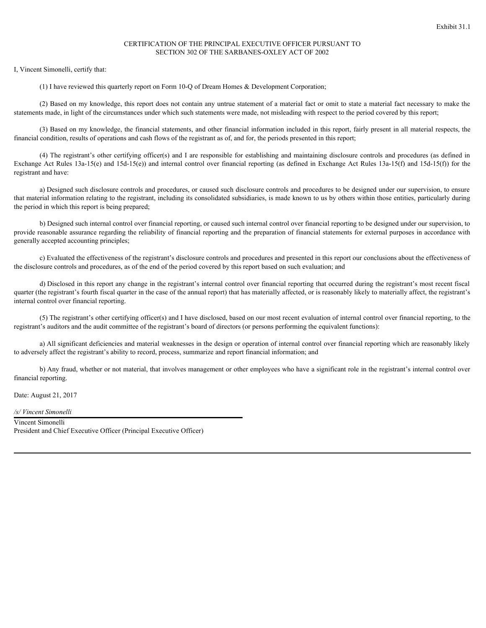## CERTIFICATION OF THE PRINCIPAL EXECUTIVE OFFICER PURSUANT TO SECTION 302 OF THE SARBANES-OXLEY ACT OF 2002

I, Vincent Simonelli, certify that:

(1) I have reviewed this quarterly report on Form 10-Q of Dream Homes & Development Corporation;

(2) Based on my knowledge, this report does not contain any untrue statement of a material fact or omit to state a material fact necessary to make the statements made, in light of the circumstances under which such statements were made, not misleading with respect to the period covered by this report;

(3) Based on my knowledge, the financial statements, and other financial information included in this report, fairly present in all material respects, the financial condition, results of operations and cash flows of the registrant as of, and for, the periods presented in this report;

(4) The registrant's other certifying officer(s) and I are responsible for establishing and maintaining disclosure controls and procedures (as defined in Exchange Act Rules 13a-15(e) and 15d-15(e)) and internal control over financial reporting (as defined in Exchange Act Rules 13a-15(f) and 15d-15(f)) for the registrant and have:

a) Designed such disclosure controls and procedures, or caused such disclosure controls and procedures to be designed under our supervision, to ensure that material information relating to the registrant, including its consolidated subsidiaries, is made known to us by others within those entities, particularly during the period in which this report is being prepared;

b) Designed such internal control over financial reporting, or caused such internal control over financial reporting to be designed under our supervision, to provide reasonable assurance regarding the reliability of financial reporting and the preparation of financial statements for external purposes in accordance with generally accepted accounting principles;

c) Evaluated the effectiveness of the registrant's disclosure controls and procedures and presented in this report our conclusions about the effectiveness of the disclosure controls and procedures, as of the end of the period covered by this report based on such evaluation; and

d) Disclosed in this report any change in the registrant's internal control over financial reporting that occurred during the registrant's most recent fiscal quarter (the registrant's fourth fiscal quarter in the case of the annual report) that has materially affected, or is reasonably likely to materially affect, the registrant's internal control over financial reporting.

(5) The registrant's other certifying officer(s) and I have disclosed, based on our most recent evaluation of internal control over financial reporting, to the registrant's auditors and the audit committee of the registrant's board of directors (or persons performing the equivalent functions):

a) All significant deficiencies and material weaknesses in the design or operation of internal control over financial reporting which are reasonably likely to adversely affect the registrant's ability to record, process, summarize and report financial information; and

b) Any fraud, whether or not material, that involves management or other employees who have a significant role in the registrant's internal control over financial reporting.

Date: August 21, 2017

*/s/ Vincent Simonelli*

Vincent Simonelli President and Chief Executive Officer (Principal Executive Officer)